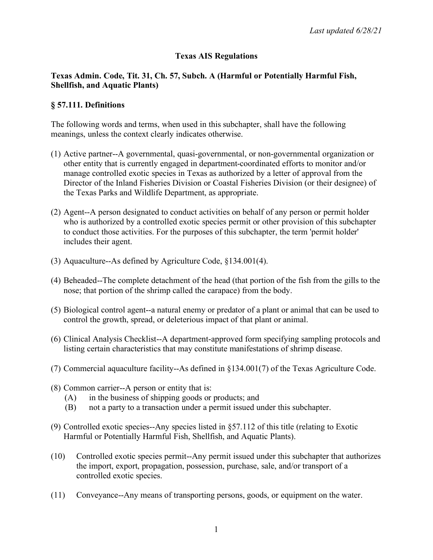### **Texas AIS Regulations**

#### **Texas Admin. Code, Tit. 31, Ch. 57, Subch. A (Harmful or Potentially Harmful Fish, Shellfish, and Aquatic Plants)**

#### **§ 57.111. Definitions**

The following words and terms, when used in this subchapter, shall have the following meanings, unless the context clearly indicates otherwise.

- (1) Active partner--A governmental, quasi-governmental, or non-governmental organization or other entity that is currently engaged in department-coordinated efforts to monitor and/or manage controlled exotic species in Texas as authorized by a letter of approval from the Director of the Inland Fisheries Division or Coastal Fisheries Division (or their designee) of the Texas Parks and Wildlife Department, as appropriate.
- (2) Agent--A person designated to conduct activities on behalf of any person or permit holder who is authorized by a controlled exotic species permit or other provision of this subchapter to conduct those activities. For the purposes of this subchapter, the term 'permit holder' includes their agent.
- (3) Aquaculture--As defined by Agriculture Code, §134.001(4).
- (4) Beheaded--The complete detachment of the head (that portion of the fish from the gills to the nose; that portion of the shrimp called the carapace) from the body.
- (5) Biological control agent--a natural enemy or predator of a plant or animal that can be used to control the growth, spread, or deleterious impact of that plant or animal.
- (6) Clinical Analysis Checklist--A department-approved form specifying sampling protocols and listing certain characteristics that may constitute manifestations of shrimp disease.
- (7) Commercial aquaculture facility--As defined in §134.001(7) of the Texas Agriculture Code.
- (8) Common carrier--A person or entity that is:
	- (A) in the business of shipping goods or products; and
	- (B) not a party to a transaction under a permit issued under this subchapter.
- (9) Controlled exotic species--Any species listed in §57.112 of this title (relating to Exotic Harmful or Potentially Harmful Fish, Shellfish, and Aquatic Plants).
- (10) Controlled exotic species permit--Any permit issued under this subchapter that authorizes the import, export, propagation, possession, purchase, sale, and/or transport of a controlled exotic species.
- (11) Conveyance--Any means of transporting persons, goods, or equipment on the water.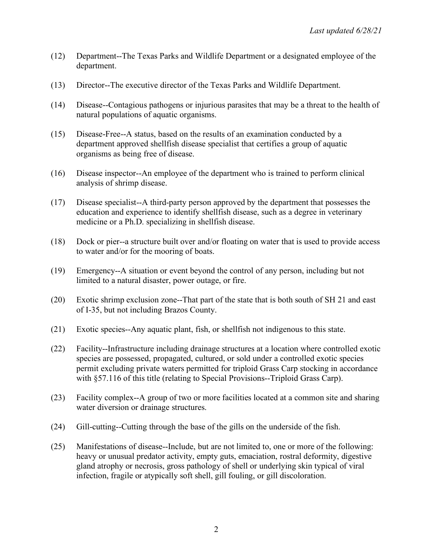- (12) Department--The Texas Parks and Wildlife Department or a designated employee of the department.
- (13) Director--The executive director of the Texas Parks and Wildlife Department.
- (14) Disease--Contagious pathogens or injurious parasites that may be a threat to the health of natural populations of aquatic organisms.
- (15) Disease-Free--A status, based on the results of an examination conducted by a department approved shellfish disease specialist that certifies a group of aquatic organisms as being free of disease.
- (16) Disease inspector--An employee of the department who is trained to perform clinical analysis of shrimp disease.
- (17) Disease specialist--A third-party person approved by the department that possesses the education and experience to identify shellfish disease, such as a degree in veterinary medicine or a Ph.D. specializing in shellfish disease.
- (18) Dock or pier--a structure built over and/or floating on water that is used to provide access to water and/or for the mooring of boats.
- (19) Emergency--A situation or event beyond the control of any person, including but not limited to a natural disaster, power outage, or fire.
- (20) Exotic shrimp exclusion zone--That part of the state that is both south of SH 21 and east of I-35, but not including Brazos County.
- (21) Exotic species--Any aquatic plant, fish, or shellfish not indigenous to this state.
- (22) Facility--Infrastructure including drainage structures at a location where controlled exotic species are possessed, propagated, cultured, or sold under a controlled exotic species permit excluding private waters permitted for triploid Grass Carp stocking in accordance with §57.116 of this title (relating to Special Provisions--Triploid Grass Carp).
- (23) Facility complex--A group of two or more facilities located at a common site and sharing water diversion or drainage structures.
- (24) Gill-cutting--Cutting through the base of the gills on the underside of the fish.
- (25) Manifestations of disease--Include, but are not limited to, one or more of the following: heavy or unusual predator activity, empty guts, emaciation, rostral deformity, digestive gland atrophy or necrosis, gross pathology of shell or underlying skin typical of viral infection, fragile or atypically soft shell, gill fouling, or gill discoloration.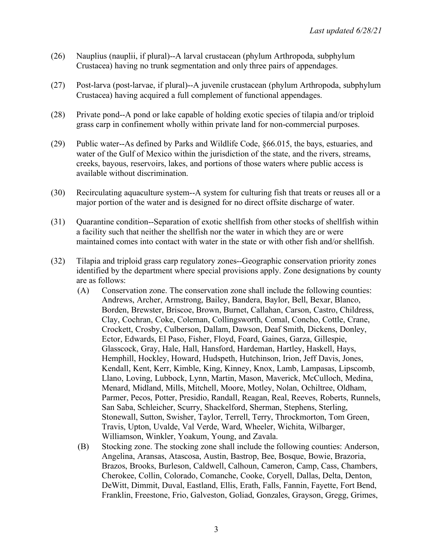- (26) Nauplius (nauplii, if plural)--A larval crustacean (phylum Arthropoda, subphylum Crustacea) having no trunk segmentation and only three pairs of appendages.
- (27) Post-larva (post-larvae, if plural)--A juvenile crustacean (phylum Arthropoda, subphylum Crustacea) having acquired a full complement of functional appendages.
- (28) Private pond--A pond or lake capable of holding exotic species of tilapia and/or triploid grass carp in confinement wholly within private land for non-commercial purposes.
- (29) Public water--As defined by Parks and Wildlife Code, §66.015, the bays, estuaries, and water of the Gulf of Mexico within the jurisdiction of the state, and the rivers, streams, creeks, bayous, reservoirs, lakes, and portions of those waters where public access is available without discrimination.
- (30) Recirculating aquaculture system--A system for culturing fish that treats or reuses all or a major portion of the water and is designed for no direct offsite discharge of water.
- (31) Quarantine condition--Separation of exotic shellfish from other stocks of shellfish within a facility such that neither the shellfish nor the water in which they are or were maintained comes into contact with water in the state or with other fish and/or shellfish.
- (32) Tilapia and triploid grass carp regulatory zones--Geographic conservation priority zones identified by the department where special provisions apply. Zone designations by county are as follows:
	- (A) Conservation zone. The conservation zone shall include the following counties: Andrews, Archer, Armstrong, Bailey, Bandera, Baylor, Bell, Bexar, Blanco, Borden, Brewster, Briscoe, Brown, Burnet, Callahan, Carson, Castro, Childress, Clay, Cochran, Coke, Coleman, Collingsworth, Comal, Concho, Cottle, Crane, Crockett, Crosby, Culberson, Dallam, Dawson, Deaf Smith, Dickens, Donley, Ector, Edwards, El Paso, Fisher, Floyd, Foard, Gaines, Garza, Gillespie, Glasscock, Gray, Hale, Hall, Hansford, Hardeman, Hartley, Haskell, Hays, Hemphill, Hockley, Howard, Hudspeth, Hutchinson, Irion, Jeff Davis, Jones, Kendall, Kent, Kerr, Kimble, King, Kinney, Knox, Lamb, Lampasas, Lipscomb, Llano, Loving, Lubbock, Lynn, Martin, Mason, Maverick, McCulloch, Medina, Menard, Midland, Mills, Mitchell, Moore, Motley, Nolan, Ochiltree, Oldham, Parmer, Pecos, Potter, Presidio, Randall, Reagan, Real, Reeves, Roberts, Runnels, San Saba, Schleicher, Scurry, Shackelford, Sherman, Stephens, Sterling, Stonewall, Sutton, Swisher, Taylor, Terrell, Terry, Throckmorton, Tom Green, Travis, Upton, Uvalde, Val Verde, Ward, Wheeler, Wichita, Wilbarger, Williamson, Winkler, Yoakum, Young, and Zavala.
	- (B) Stocking zone. The stocking zone shall include the following counties: Anderson, Angelina, Aransas, Atascosa, Austin, Bastrop, Bee, Bosque, Bowie, Brazoria, Brazos, Brooks, Burleson, Caldwell, Calhoun, Cameron, Camp, Cass, Chambers, Cherokee, Collin, Colorado, Comanche, Cooke, Coryell, Dallas, Delta, Denton, DeWitt, Dimmit, Duval, Eastland, Ellis, Erath, Falls, Fannin, Fayette, Fort Bend, Franklin, Freestone, Frio, Galveston, Goliad, Gonzales, Grayson, Gregg, Grimes,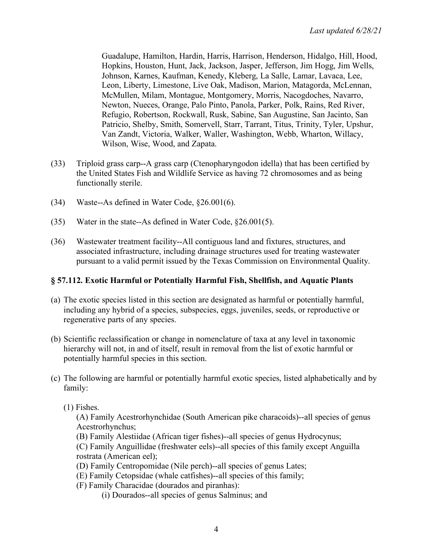Guadalupe, Hamilton, Hardin, Harris, Harrison, Henderson, Hidalgo, Hill, Hood, Hopkins, Houston, Hunt, Jack, Jackson, Jasper, Jefferson, Jim Hogg, Jim Wells, Johnson, Karnes, Kaufman, Kenedy, Kleberg, La Salle, Lamar, Lavaca, Lee, Leon, Liberty, Limestone, Live Oak, Madison, Marion, Matagorda, McLennan, McMullen, Milam, Montague, Montgomery, Morris, Nacogdoches, Navarro, Newton, Nueces, Orange, Palo Pinto, Panola, Parker, Polk, Rains, Red River, Refugio, Robertson, Rockwall, Rusk, Sabine, San Augustine, San Jacinto, San Patricio, Shelby, Smith, Somervell, Starr, Tarrant, Titus, Trinity, Tyler, Upshur, Van Zandt, Victoria, Walker, Waller, Washington, Webb, Wharton, Willacy, Wilson, Wise, Wood, and Zapata.

- (33) Triploid grass carp--A grass carp (Ctenopharyngodon idella) that has been certified by the United States Fish and Wildlife Service as having 72 chromosomes and as being functionally sterile.
- (34) Waste--As defined in Water Code, §26.001(6).
- (35) Water in the state--As defined in Water Code, §26.001(5).
- (36) Wastewater treatment facility--All contiguous land and fixtures, structures, and associated infrastructure, including drainage structures used for treating wastewater pursuant to a valid permit issued by the Texas Commission on Environmental Quality.

#### **§ 57.112. Exotic Harmful or Potentially Harmful Fish, Shellfish, and Aquatic Plants**

- (a) The exotic species listed in this section are designated as harmful or potentially harmful, including any hybrid of a species, subspecies, eggs, juveniles, seeds, or reproductive or regenerative parts of any species.
- (b) Scientific reclassification or change in nomenclature of taxa at any level in taxonomic hierarchy will not, in and of itself, result in removal from the list of exotic harmful or potentially harmful species in this section.
- (c) The following are harmful or potentially harmful exotic species, listed alphabetically and by family:

#### (1) Fishes.

(A) Family Acestrorhynchidae (South American pike characoids)--all species of genus Acestrorhynchus;

(B) Family Alestiidae (African tiger fishes)--all species of genus Hydrocynus;

(C) Family Anguillidae (freshwater eels)--all species of this family except Anguilla rostrata (American eel);

- (D) Family Centropomidae (Nile perch)--all species of genus Lates;
- (E) Family Cetopsidae (whale catfishes)--all species of this family;
- (F) Family Characidae (dourados and piranhas):
	- (i) Dourados--all species of genus Salminus; and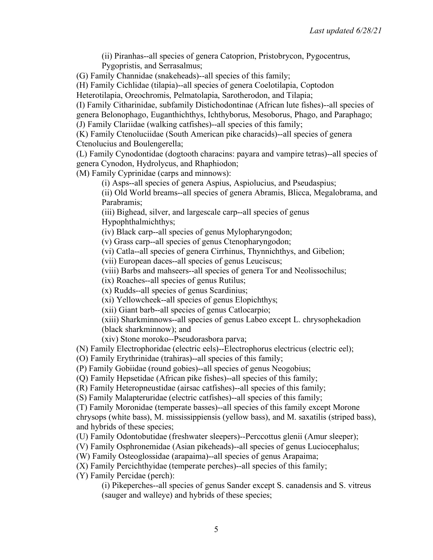(ii) Piranhas--all species of genera Catoprion, Pristobrycon, Pygocentrus, Pygopristis, and Serrasalmus;

(G) Family Channidae (snakeheads)--all species of this family;

(H) Family Cichlidae (tilapia)--all species of genera Coelotilapia, Coptodon

Heterotilapia, Oreochromis, Pelmatolapia, Sarotherodon, and Tilapia;

(I) Family Citharinidae, subfamily Distichodontinae (African lute fishes)--all species of genera Belonophago, Euganthichthys, Ichthyborus, Mesoborus, Phago, and Paraphago;

(J) Family Clariidae (walking catfishes)--all species of this family;

(K) Family Ctenoluciidae (South American pike characids)--all species of genera Ctenolucius and Boulengerella;

(L) Family Cynodontidae (dogtooth characins: payara and vampire tetras)--all species of genera Cynodon, Hydrolycus, and Rhaphiodon;

(M) Family Cyprinidae (carps and minnows):

(i) Asps--all species of genera Aspius, Aspiolucius, and Pseudaspius;

(ii) Old World breams--all species of genera Abramis, Blicca, Megalobrama, and Parabramis;

(iii) Bighead, silver, and largescale carp--all species of genus Hypophthalmichthys;

(iv) Black carp--all species of genus Mylopharyngodon;

(v) Grass carp--all species of genus Ctenopharyngodon;

(vi) Catla--all species of genera Cirrhinus, Thynnichthys, and Gibelion;

(vii) European daces--all species of genus Leuciscus;

(viii) Barbs and mahseers--all species of genera Tor and Neolissochilus;

(ix) Roaches--all species of genus Rutilus;

(x) Rudds--all species of genus Scardinius;

(xi) Yellowcheek--all species of genus Elopichthys;

(xii) Giant barb--all species of genus Catlocarpio;

(xiii) Sharkminnows--all species of genus Labeo except L. chrysophekadion (black sharkminnow); and

(xiv) Stone moroko--Pseudorasbora parva;

(N) Family Electrophoridae (electric eels)--Electrophorus electricus (electric eel);

(O) Family Erythrinidae (trahiras)--all species of this family;

(P) Family Gobiidae (round gobies)--all species of genus Neogobius;

(Q) Family Hepsetidae (African pike fishes)--all species of this family;

(R) Family Heteropneustidae (airsac catfishes)--all species of this family;

(S) Family Malapteruridae (electric catfishes)--all species of this family;

(T) Family Moronidae (temperate basses)--all species of this family except Morone chrysops (white bass), M. mississippiensis (yellow bass), and M. saxatilis (striped bass), and hybrids of these species;

(U) Family Odontobutidae (freshwater sleepers)--Perccottus glenii (Amur sleeper);

(V) Family Osphronemidae (Asian pikeheads)--all species of genus Luciocephalus;

(W) Family Osteoglossidae (arapaima)--all species of genus Arapaima;

(X) Family Percichthyidae (temperate perches)--all species of this family;

(Y) Family Percidae (perch):

(i) Pikeperches--all species of genus Sander except S. canadensis and S. vitreus (sauger and walleye) and hybrids of these species;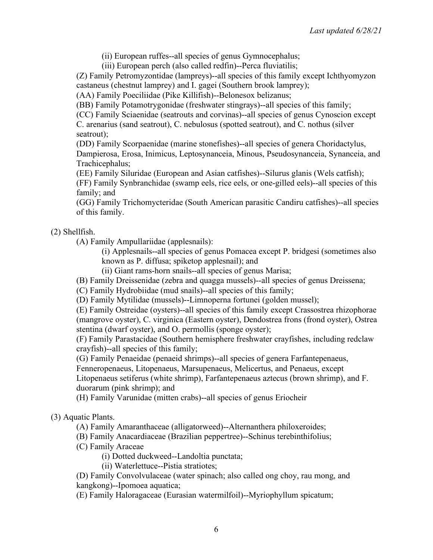(ii) European ruffes--all species of genus Gymnocephalus;

(iii) European perch (also called redfin)--Perca fluviatilis;

(Z) Family Petromyzontidae (lampreys)--all species of this family except Ichthyomyzon castaneus (chestnut lamprey) and I. gagei (Southern brook lamprey);

(AA) Family Poeciliidae (Pike Killifish)--Belonesox belizanus;

(BB) Family Potamotrygonidae (freshwater stingrays)--all species of this family;

(CC) Family Sciaenidae (seatrouts and corvinas)--all species of genus Cynoscion except C. arenarius (sand seatrout), C. nebulosus (spotted seatrout), and C. nothus (silver seatrout);

(DD) Family Scorpaenidae (marine stonefishes)--all species of genera Choridactylus, Dampierosa, Erosa, Inimicus, Leptosynanceia, Minous, Pseudosynanceia, Synanceia, and Trachicephalus;

(EE) Family Siluridae (European and Asian catfishes)--Silurus glanis (Wels catfish); (FF) Family Synbranchidae (swamp eels, rice eels, or one-gilled eels)--all species of this family; and

(GG) Family Trichomycteridae (South American parasitic Candiru catfishes)--all species of this family.

#### (2) Shellfish.

(A) Family Ampullariidae (applesnails):

(i) Applesnails--all species of genus Pomacea except P. bridgesi (sometimes also known as P. diffusa; spiketop applesnail); and

(ii) Giant rams-horn snails--all species of genus Marisa;

(B) Family Dreissenidae (zebra and quagga mussels)--all species of genus Dreissena;

(C) Family Hydrobiidae (mud snails)--all species of this family;

(D) Family Mytilidae (mussels)--Limnoperna fortunei (golden mussel);

(E) Family Ostreidae (oysters)--all species of this family except Crassostrea rhizophorae (mangrove oyster), C. virginica (Eastern oyster), Dendostrea frons (frond oyster), Ostrea stentina (dwarf oyster), and O. permollis (sponge oyster);

(F) Family Parastacidae (Southern hemisphere freshwater crayfishes, including redclaw crayfish)--all species of this family;

(G) Family Penaeidae (penaeid shrimps)--all species of genera Farfantepenaeus,

Fenneropenaeus, Litopenaeus, Marsupenaeus, Melicertus, and Penaeus, except

Litopenaeus setiferus (white shrimp), Farfantepenaeus aztecus (brown shrimp), and F. duorarum (pink shrimp); and

(H) Family Varunidae (mitten crabs)--all species of genus Eriocheir

#### (3) Aquatic Plants.

(A) Family Amaranthaceae (alligatorweed)--Alternanthera philoxeroides;

(B) Family Anacardiaceae (Brazilian peppertree)--Schinus terebinthifolius;

(C) Family Araceae

(i) Dotted duckweed--Landoltia punctata;

(ii) Waterlettuce--Pistia stratiotes;

(D) Family Convolvulaceae (water spinach; also called ong choy, rau mong, and kangkong)--Ipomoea aquatica;

(E) Family Haloragaceae (Eurasian watermilfoil)--Myriophyllum spicatum;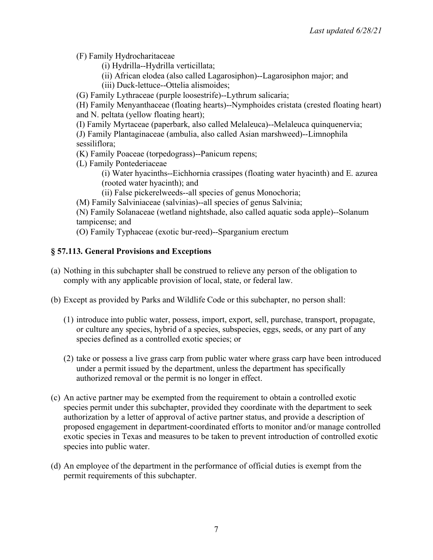(F) Family Hydrocharitaceae

- (i) Hydrilla--Hydrilla verticillata;
- (ii) African elodea (also called Lagarosiphon)--Lagarosiphon major; and
- (iii) Duck-lettuce--Ottelia alismoides;

(G) Family Lythraceae (purple loosestrife)--Lythrum salicaria;

(H) Family Menyanthaceae (floating hearts)--Nymphoides cristata (crested floating heart) and N. peltata (yellow floating heart);

(I) Family Myrtaceae (paperbark, also called Melaleuca)--Melaleuca quinquenervia;

(J) Family Plantaginaceae (ambulia, also called Asian marshweed)--Limnophila sessiliflora;

- (K) Family Poaceae (torpedograss)--Panicum repens;
- (L) Family Pontederiaceae

(i) Water hyacinths--Eichhornia crassipes (floating water hyacinth) and E. azurea (rooted water hyacinth); and

- (ii) False pickerelweeds--all species of genus Monochoria;
- (M) Family Salviniaceae (salvinias)--all species of genus Salvinia;

(N) Family Solanaceae (wetland nightshade, also called aquatic soda apple)--Solanum tampicense; and

(O) Family Typhaceae (exotic bur-reed)--Sparganium erectum

### **§ 57.113. General Provisions and Exceptions**

- (a) Nothing in this subchapter shall be construed to relieve any person of the obligation to comply with any applicable provision of local, state, or federal law.
- (b) Except as provided by Parks and Wildlife Code or this subchapter, no person shall:
	- (1) introduce into public water, possess, import, export, sell, purchase, transport, propagate, or culture any species, hybrid of a species, subspecies, eggs, seeds, or any part of any species defined as a controlled exotic species; or
	- (2) take or possess a live grass carp from public water where grass carp have been introduced under a permit issued by the department, unless the department has specifically authorized removal or the permit is no longer in effect.
- (c) An active partner may be exempted from the requirement to obtain a controlled exotic species permit under this subchapter, provided they coordinate with the department to seek authorization by a letter of approval of active partner status, and provide a description of proposed engagement in department-coordinated efforts to monitor and/or manage controlled exotic species in Texas and measures to be taken to prevent introduction of controlled exotic species into public water.
- (d) An employee of the department in the performance of official duties is exempt from the permit requirements of this subchapter.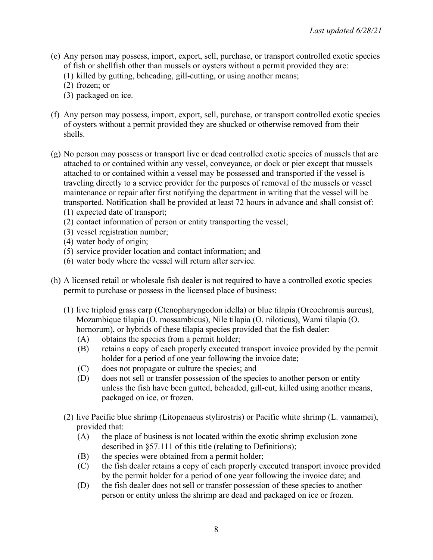- (e) Any person may possess, import, export, sell, purchase, or transport controlled exotic species of fish or shellfish other than mussels or oysters without a permit provided they are:
	- (1) killed by gutting, beheading, gill-cutting, or using another means;
	- (2) frozen; or
	- (3) packaged on ice.
- (f) Any person may possess, import, export, sell, purchase, or transport controlled exotic species of oysters without a permit provided they are shucked or otherwise removed from their shells.
- (g) No person may possess or transport live or dead controlled exotic species of mussels that are attached to or contained within any vessel, conveyance, or dock or pier except that mussels attached to or contained within a vessel may be possessed and transported if the vessel is traveling directly to a service provider for the purposes of removal of the mussels or vessel maintenance or repair after first notifying the department in writing that the vessel will be transported. Notification shall be provided at least 72 hours in advance and shall consist of: (1) expected date of transport;
	- (2) contact information of person or entity transporting the vessel;
	- (3) vessel registration number;
	- (4) water body of origin;
	- (5) service provider location and contact information; and
	- (6) water body where the vessel will return after service.
- (h) A licensed retail or wholesale fish dealer is not required to have a controlled exotic species permit to purchase or possess in the licensed place of business:
	- (1) live triploid grass carp (Ctenopharyngodon idella) or blue tilapia (Oreochromis aureus), Mozambique tilapia (O. mossambicus), Nile tilapia (O. niloticus), Wami tilapia (O. hornorum), or hybrids of these tilapia species provided that the fish dealer:
		- (A) obtains the species from a permit holder;
		- (B) retains a copy of each properly executed transport invoice provided by the permit holder for a period of one year following the invoice date;
		- (C) does not propagate or culture the species; and
		- (D) does not sell or transfer possession of the species to another person or entity unless the fish have been gutted, beheaded, gill-cut, killed using another means, packaged on ice, or frozen.
	- (2) live Pacific blue shrimp (Litopenaeus stylirostris) or Pacific white shrimp (L. vannamei), provided that:
		- (A) the place of business is not located within the exotic shrimp exclusion zone described in §57.111 of this title (relating to Definitions);
		- (B) the species were obtained from a permit holder;
		- (C) the fish dealer retains a copy of each properly executed transport invoice provided by the permit holder for a period of one year following the invoice date; and
		- (D) the fish dealer does not sell or transfer possession of these species to another person or entity unless the shrimp are dead and packaged on ice or frozen.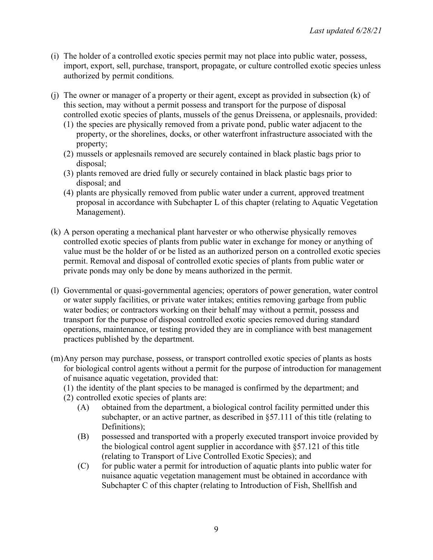- (i) The holder of a controlled exotic species permit may not place into public water, possess, import, export, sell, purchase, transport, propagate, or culture controlled exotic species unless authorized by permit conditions.
- (j) The owner or manager of a property or their agent, except as provided in subsection (k) of this section, may without a permit possess and transport for the purpose of disposal controlled exotic species of plants, mussels of the genus Dreissena, or applesnails, provided:
	- (1) the species are physically removed from a private pond, public water adjacent to the property, or the shorelines, docks, or other waterfront infrastructure associated with the property;
	- (2) mussels or applesnails removed are securely contained in black plastic bags prior to disposal;
	- (3) plants removed are dried fully or securely contained in black plastic bags prior to disposal; and
	- (4) plants are physically removed from public water under a current, approved treatment proposal in accordance with Subchapter L of this chapter (relating to Aquatic Vegetation Management).
- (k) A person operating a mechanical plant harvester or who otherwise physically removes controlled exotic species of plants from public water in exchange for money or anything of value must be the holder of or be listed as an authorized person on a controlled exotic species permit. Removal and disposal of controlled exotic species of plants from public water or private ponds may only be done by means authorized in the permit.
- (l) Governmental or quasi-governmental agencies; operators of power generation, water control or water supply facilities, or private water intakes; entities removing garbage from public water bodies; or contractors working on their behalf may without a permit, possess and transport for the purpose of disposal controlled exotic species removed during standard operations, maintenance, or testing provided they are in compliance with best management practices published by the department.
- (m)Any person may purchase, possess, or transport controlled exotic species of plants as hosts for biological control agents without a permit for the purpose of introduction for management of nuisance aquatic vegetation, provided that:
	- (1) the identity of the plant species to be managed is confirmed by the department; and
	- (2) controlled exotic species of plants are:
		- (A) obtained from the department, a biological control facility permitted under this subchapter, or an active partner, as described in §57.111 of this title (relating to Definitions);
		- (B) possessed and transported with a properly executed transport invoice provided by the biological control agent supplier in accordance with §57.121 of this title (relating to Transport of Live Controlled Exotic Species); and
		- (C) for public water a permit for introduction of aquatic plants into public water for nuisance aquatic vegetation management must be obtained in accordance with Subchapter C of this chapter (relating to Introduction of Fish, Shellfish and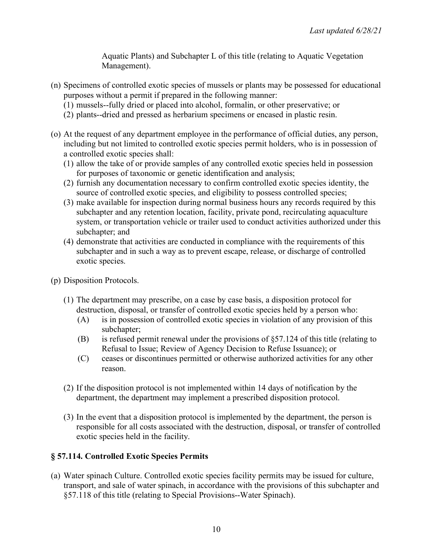Aquatic Plants) and Subchapter L of this title (relating to Aquatic Vegetation Management).

- (n) Specimens of controlled exotic species of mussels or plants may be possessed for educational purposes without a permit if prepared in the following manner:
	- (1) mussels--fully dried or placed into alcohol, formalin, or other preservative; or
	- (2) plants--dried and pressed as herbarium specimens or encased in plastic resin.
- (o) At the request of any department employee in the performance of official duties, any person, including but not limited to controlled exotic species permit holders, who is in possession of a controlled exotic species shall:
	- (1) allow the take of or provide samples of any controlled exotic species held in possession for purposes of taxonomic or genetic identification and analysis;
	- (2) furnish any documentation necessary to confirm controlled exotic species identity, the source of controlled exotic species, and eligibility to possess controlled species;
	- (3) make available for inspection during normal business hours any records required by this subchapter and any retention location, facility, private pond, recirculating aquaculture system, or transportation vehicle or trailer used to conduct activities authorized under this subchapter; and
	- (4) demonstrate that activities are conducted in compliance with the requirements of this subchapter and in such a way as to prevent escape, release, or discharge of controlled exotic species.
- (p) Disposition Protocols.
	- (1) The department may prescribe, on a case by case basis, a disposition protocol for destruction, disposal, or transfer of controlled exotic species held by a person who:
		- (A) is in possession of controlled exotic species in violation of any provision of this subchapter;
		- (B) is refused permit renewal under the provisions of §57.124 of this title (relating to Refusal to Issue; Review of Agency Decision to Refuse Issuance); or
		- (C) ceases or discontinues permitted or otherwise authorized activities for any other reason.
	- (2) If the disposition protocol is not implemented within 14 days of notification by the department, the department may implement a prescribed disposition protocol.
	- (3) In the event that a disposition protocol is implemented by the department, the person is responsible for all costs associated with the destruction, disposal, or transfer of controlled exotic species held in the facility.

#### **§ 57.114. Controlled Exotic Species Permits**

(a) Water spinach Culture. Controlled exotic species facility permits may be issued for culture, transport, and sale of water spinach, in accordance with the provisions of this subchapter and §57.118 of this title (relating to Special Provisions--Water Spinach).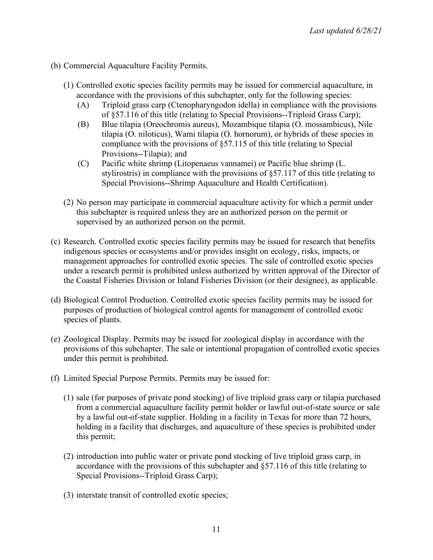- (b) Commercial Aquaculture Facility Permits.
	- (1) Controlled exotic species facility permits may be issued for commercial aquaculture, in accordance with the provisions of this subchapter, only for the following species:
		- (A) Triploid grass carp (Ctenopharyngodon idella) in compliance with the provisions of §57.116 of this title (relating to Special Provisions--Triploid Grass Carp);
		- (B) Blue tilapia (Oreochromis aureus), Mozambique tilapia (O. mossambicus), Nile tilapia (O. niloticus), Wami tilapia (O. hornorum), or hybrids of these species in compliance with the provisions of §57.115 of this title (relating to Special Provisions--Tilapia); and
		- (C) Pacific white shrimp (Litopenaeus vannamei) or Pacific blue shrimp (L. stylirostris) in compliance with the provisions of §57.117 of this title (relating to Special Provisions--Shrimp Aquaculture and Health Certification).
	- (2) No person may participate in commercial aquaculture activity for which a permit under this subchapter is required unless they are an authorized person on the permit or supervised by an authorized person on the permit.
- (c) Research. Controlled exotic species facility permits may be issued for research that benefits indigenous species or ecosystems and/or provides insight on ecology, risks, impacts, or management approaches for controlled exotic species. The sale of controlled exotic species under a research permit is prohibited unless authorized by written approval of the Director of the Coastal Fisheries Division or Inland Fisheries Division (or their designee), as applicable.
- (d) Biological Control Production. Controlled exotic species facility permits may be issued for purposes of production of biological control agents for management of controlled exotic species of plants.
- (e) Zoological Display. Permits may be issued for zoological display in accordance with the provisions of this subchapter. The sale or intentional propagation of controlled exotic species under this permit is prohibited.
- (f) Limited Special Purpose Permits. Permits may be issued for:
	- (1) sale (for purposes of private pond stocking) of live triploid grass carp or tilapia purchased from a commercial aquaculture facility permit holder or lawful out-of-state source or sale by a lawful out-of-state supplier. Holding in a facility in Texas for more than 72 hours, holding in a facility that discharges, and aquaculture of these species is prohibited under this permit;
	- (2) introduction into public water or private pond stocking of live triploid grass carp, in accordance with the provisions of this subchapter and §57.116 of this title (relating to Special Provisions--Triploid Grass Carp);
	- (3) interstate transit of controlled exotic species;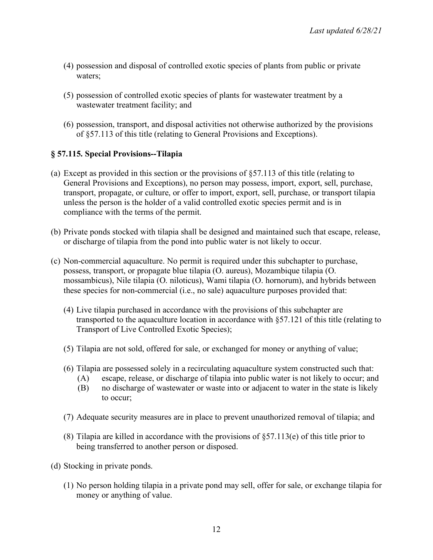- (4) possession and disposal of controlled exotic species of plants from public or private waters;
- (5) possession of controlled exotic species of plants for wastewater treatment by a wastewater treatment facility; and
- (6) possession, transport, and disposal activities not otherwise authorized by the provisions of §57.113 of this title (relating to General Provisions and Exceptions).

### **§ 57.115. Special Provisions--Tilapia**

- (a) Except as provided in this section or the provisions of §57.113 of this title (relating to General Provisions and Exceptions), no person may possess, import, export, sell, purchase, transport, propagate, or culture, or offer to import, export, sell, purchase, or transport tilapia unless the person is the holder of a valid controlled exotic species permit and is in compliance with the terms of the permit.
- (b) Private ponds stocked with tilapia shall be designed and maintained such that escape, release, or discharge of tilapia from the pond into public water is not likely to occur.
- (c) Non-commercial aquaculture. No permit is required under this subchapter to purchase, possess, transport, or propagate blue tilapia (O. aureus), Mozambique tilapia (O. mossambicus), Nile tilapia (O. niloticus), Wami tilapia (O. hornorum), and hybrids between these species for non-commercial (i.e., no sale) aquaculture purposes provided that:
	- (4) Live tilapia purchased in accordance with the provisions of this subchapter are transported to the aquaculture location in accordance with §57.121 of this title (relating to Transport of Live Controlled Exotic Species);
	- (5) Tilapia are not sold, offered for sale, or exchanged for money or anything of value;
	- (6) Tilapia are possessed solely in a recirculating aquaculture system constructed such that:
		- (A) escape, release, or discharge of tilapia into public water is not likely to occur; and
		- (B) no discharge of wastewater or waste into or adjacent to water in the state is likely to occur;
	- (7) Adequate security measures are in place to prevent unauthorized removal of tilapia; and
	- (8) Tilapia are killed in accordance with the provisions of §57.113(e) of this title prior to being transferred to another person or disposed.
- (d) Stocking in private ponds.
	- (1) No person holding tilapia in a private pond may sell, offer for sale, or exchange tilapia for money or anything of value.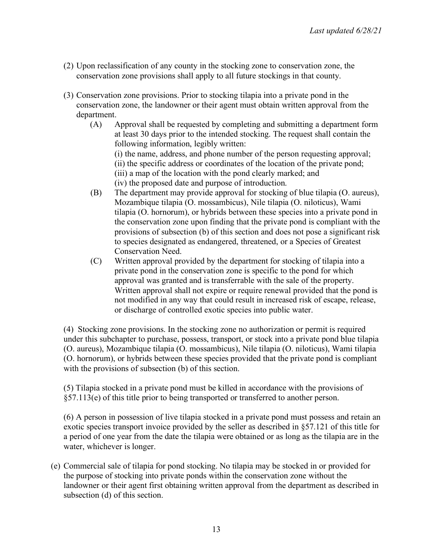- (2) Upon reclassification of any county in the stocking zone to conservation zone, the conservation zone provisions shall apply to all future stockings in that county.
- (3) Conservation zone provisions. Prior to stocking tilapia into a private pond in the conservation zone, the landowner or their agent must obtain written approval from the department.
	- (A) Approval shall be requested by completing and submitting a department form at least 30 days prior to the intended stocking. The request shall contain the following information, legibly written:

(i) the name, address, and phone number of the person requesting approval;

- (ii) the specific address or coordinates of the location of the private pond;
- (iii) a map of the location with the pond clearly marked; and
- (iv) the proposed date and purpose of introduction.
- (B) The department may provide approval for stocking of blue tilapia (O. aureus), Mozambique tilapia (O. mossambicus), Nile tilapia (O. niloticus), Wami tilapia (O. hornorum), or hybrids between these species into a private pond in the conservation zone upon finding that the private pond is compliant with the provisions of subsection (b) of this section and does not pose a significant risk to species designated as endangered, threatened, or a Species of Greatest Conservation Need.
- (C) Written approval provided by the department for stocking of tilapia into a private pond in the conservation zone is specific to the pond for which approval was granted and is transferrable with the sale of the property. Written approval shall not expire or require renewal provided that the pond is not modified in any way that could result in increased risk of escape, release, or discharge of controlled exotic species into public water.

(4) Stocking zone provisions. In the stocking zone no authorization or permit is required under this subchapter to purchase, possess, transport, or stock into a private pond blue tilapia (O. aureus), Mozambique tilapia (O. mossambicus), Nile tilapia (O. niloticus), Wami tilapia (O. hornorum), or hybrids between these species provided that the private pond is compliant with the provisions of subsection (b) of this section.

(5) Tilapia stocked in a private pond must be killed in accordance with the provisions of §57.113(e) of this title prior to being transported or transferred to another person.

(6) A person in possession of live tilapia stocked in a private pond must possess and retain an exotic species transport invoice provided by the seller as described in §57.121 of this title for a period of one year from the date the tilapia were obtained or as long as the tilapia are in the water, whichever is longer.

(e) Commercial sale of tilapia for pond stocking. No tilapia may be stocked in or provided for the purpose of stocking into private ponds within the conservation zone without the landowner or their agent first obtaining written approval from the department as described in subsection (d) of this section.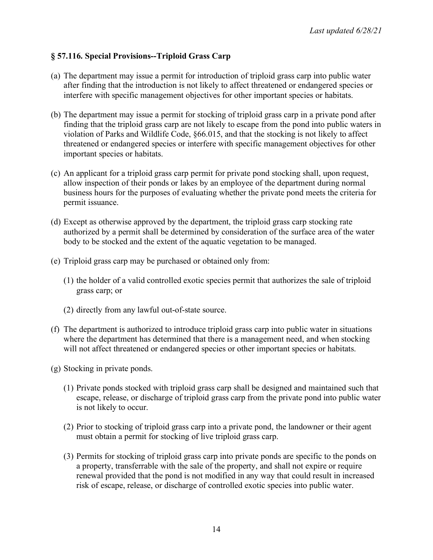## **§ 57.116. Special Provisions--Triploid Grass Carp**

- (a) The department may issue a permit for introduction of triploid grass carp into public water after finding that the introduction is not likely to affect threatened or endangered species or interfere with specific management objectives for other important species or habitats.
- (b) The department may issue a permit for stocking of triploid grass carp in a private pond after finding that the triploid grass carp are not likely to escape from the pond into public waters in violation of Parks and Wildlife Code, §66.015, and that the stocking is not likely to affect threatened or endangered species or interfere with specific management objectives for other important species or habitats.
- (c) An applicant for a triploid grass carp permit for private pond stocking shall, upon request, allow inspection of their ponds or lakes by an employee of the department during normal business hours for the purposes of evaluating whether the private pond meets the criteria for permit issuance.
- (d) Except as otherwise approved by the department, the triploid grass carp stocking rate authorized by a permit shall be determined by consideration of the surface area of the water body to be stocked and the extent of the aquatic vegetation to be managed.
- (e) Triploid grass carp may be purchased or obtained only from:
	- (1) the holder of a valid controlled exotic species permit that authorizes the sale of triploid grass carp; or
	- (2) directly from any lawful out-of-state source.
- (f) The department is authorized to introduce triploid grass carp into public water in situations where the department has determined that there is a management need, and when stocking will not affect threatened or endangered species or other important species or habitats.
- (g) Stocking in private ponds.
	- (1) Private ponds stocked with triploid grass carp shall be designed and maintained such that escape, release, or discharge of triploid grass carp from the private pond into public water is not likely to occur.
	- (2) Prior to stocking of triploid grass carp into a private pond, the landowner or their agent must obtain a permit for stocking of live triploid grass carp.
	- (3) Permits for stocking of triploid grass carp into private ponds are specific to the ponds on a property, transferrable with the sale of the property, and shall not expire or require renewal provided that the pond is not modified in any way that could result in increased risk of escape, release, or discharge of controlled exotic species into public water.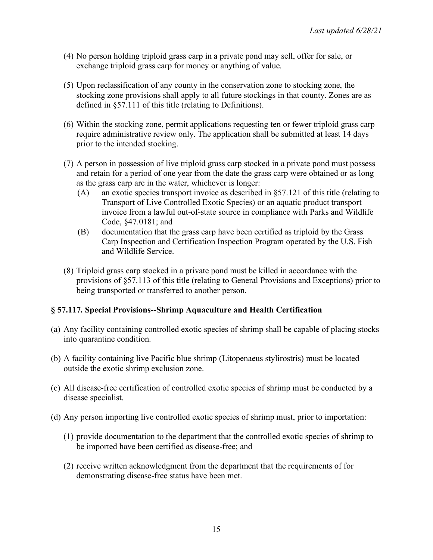- (4) No person holding triploid grass carp in a private pond may sell, offer for sale, or exchange triploid grass carp for money or anything of value.
- (5) Upon reclassification of any county in the conservation zone to stocking zone, the stocking zone provisions shall apply to all future stockings in that county. Zones are as defined in §57.111 of this title (relating to Definitions).
- (6) Within the stocking zone, permit applications requesting ten or fewer triploid grass carp require administrative review only. The application shall be submitted at least 14 days prior to the intended stocking.
- (7) A person in possession of live triploid grass carp stocked in a private pond must possess and retain for a period of one year from the date the grass carp were obtained or as long as the grass carp are in the water, whichever is longer:
	- (A) an exotic species transport invoice as described in §57.121 of this title (relating to Transport of Live Controlled Exotic Species) or an aquatic product transport invoice from a lawful out-of-state source in compliance with Parks and Wildlife Code, §47.0181; and
	- (B) documentation that the grass carp have been certified as triploid by the Grass Carp Inspection and Certification Inspection Program operated by the U.S. Fish and Wildlife Service.
- (8) Triploid grass carp stocked in a private pond must be killed in accordance with the provisions of §57.113 of this title (relating to General Provisions and Exceptions) prior to being transported or transferred to another person.

## **§ 57.117. Special Provisions--Shrimp Aquaculture and Health Certification**

- (a) Any facility containing controlled exotic species of shrimp shall be capable of placing stocks into quarantine condition.
- (b) A facility containing live Pacific blue shrimp (Litopenaeus stylirostris) must be located outside the exotic shrimp exclusion zone.
- (c) All disease-free certification of controlled exotic species of shrimp must be conducted by a disease specialist.
- (d) Any person importing live controlled exotic species of shrimp must, prior to importation:
	- (1) provide documentation to the department that the controlled exotic species of shrimp to be imported have been certified as disease-free; and
	- (2) receive written acknowledgment from the department that the requirements of for demonstrating disease-free status have been met.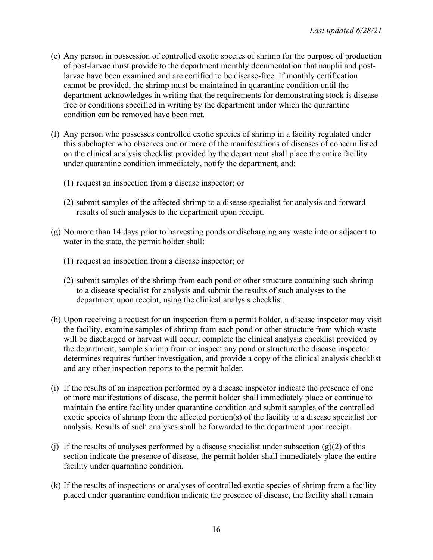- (e) Any person in possession of controlled exotic species of shrimp for the purpose of production of post-larvae must provide to the department monthly documentation that nauplii and postlarvae have been examined and are certified to be disease-free. If monthly certification cannot be provided, the shrimp must be maintained in quarantine condition until the department acknowledges in writing that the requirements for demonstrating stock is diseasefree or conditions specified in writing by the department under which the quarantine condition can be removed have been met.
- (f) Any person who possesses controlled exotic species of shrimp in a facility regulated under this subchapter who observes one or more of the manifestations of diseases of concern listed on the clinical analysis checklist provided by the department shall place the entire facility under quarantine condition immediately, notify the department, and:
	- (1) request an inspection from a disease inspector; or
	- (2) submit samples of the affected shrimp to a disease specialist for analysis and forward results of such analyses to the department upon receipt.
- (g) No more than 14 days prior to harvesting ponds or discharging any waste into or adjacent to water in the state, the permit holder shall:
	- (1) request an inspection from a disease inspector; or
	- (2) submit samples of the shrimp from each pond or other structure containing such shrimp to a disease specialist for analysis and submit the results of such analyses to the department upon receipt, using the clinical analysis checklist.
- (h) Upon receiving a request for an inspection from a permit holder, a disease inspector may visit the facility, examine samples of shrimp from each pond or other structure from which waste will be discharged or harvest will occur, complete the clinical analysis checklist provided by the department, sample shrimp from or inspect any pond or structure the disease inspector determines requires further investigation, and provide a copy of the clinical analysis checklist and any other inspection reports to the permit holder.
- (i) If the results of an inspection performed by a disease inspector indicate the presence of one or more manifestations of disease, the permit holder shall immediately place or continue to maintain the entire facility under quarantine condition and submit samples of the controlled exotic species of shrimp from the affected portion(s) of the facility to a disease specialist for analysis. Results of such analyses shall be forwarded to the department upon receipt.
- (i) If the results of analyses performed by a disease specialist under subsection  $(g)(2)$  of this section indicate the presence of disease, the permit holder shall immediately place the entire facility under quarantine condition.
- (k) If the results of inspections or analyses of controlled exotic species of shrimp from a facility placed under quarantine condition indicate the presence of disease, the facility shall remain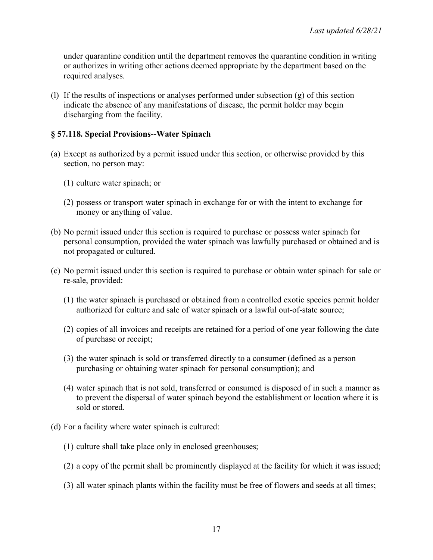under quarantine condition until the department removes the quarantine condition in writing or authorizes in writing other actions deemed appropriate by the department based on the required analyses.

(l) If the results of inspections or analyses performed under subsection (g) of this section indicate the absence of any manifestations of disease, the permit holder may begin discharging from the facility.

#### **§ 57.118. Special Provisions--Water Spinach**

- (a) Except as authorized by a permit issued under this section, or otherwise provided by this section, no person may:
	- (1) culture water spinach; or
	- (2) possess or transport water spinach in exchange for or with the intent to exchange for money or anything of value.
- (b) No permit issued under this section is required to purchase or possess water spinach for personal consumption, provided the water spinach was lawfully purchased or obtained and is not propagated or cultured.
- (c) No permit issued under this section is required to purchase or obtain water spinach for sale or re-sale, provided:
	- (1) the water spinach is purchased or obtained from a controlled exotic species permit holder authorized for culture and sale of water spinach or a lawful out-of-state source;
	- (2) copies of all invoices and receipts are retained for a period of one year following the date of purchase or receipt;
	- (3) the water spinach is sold or transferred directly to a consumer (defined as a person purchasing or obtaining water spinach for personal consumption); and
	- (4) water spinach that is not sold, transferred or consumed is disposed of in such a manner as to prevent the dispersal of water spinach beyond the establishment or location where it is sold or stored.
- (d) For a facility where water spinach is cultured:
	- (1) culture shall take place only in enclosed greenhouses;
	- (2) a copy of the permit shall be prominently displayed at the facility for which it was issued;
	- (3) all water spinach plants within the facility must be free of flowers and seeds at all times;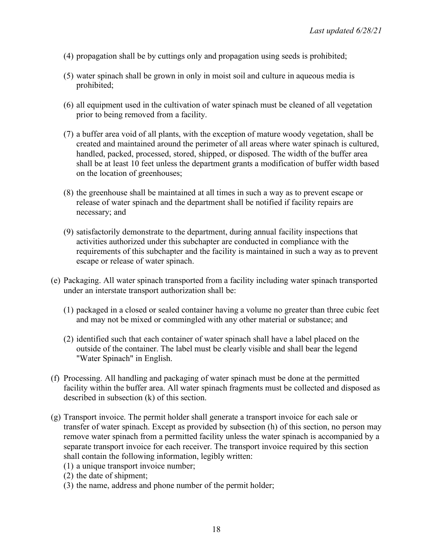- (4) propagation shall be by cuttings only and propagation using seeds is prohibited;
- (5) water spinach shall be grown in only in moist soil and culture in aqueous media is prohibited;
- (6) all equipment used in the cultivation of water spinach must be cleaned of all vegetation prior to being removed from a facility.
- (7) a buffer area void of all plants, with the exception of mature woody vegetation, shall be created and maintained around the perimeter of all areas where water spinach is cultured, handled, packed, processed, stored, shipped, or disposed. The width of the buffer area shall be at least 10 feet unless the department grants a modification of buffer width based on the location of greenhouses;
- (8) the greenhouse shall be maintained at all times in such a way as to prevent escape or release of water spinach and the department shall be notified if facility repairs are necessary; and
- (9) satisfactorily demonstrate to the department, during annual facility inspections that activities authorized under this subchapter are conducted in compliance with the requirements of this subchapter and the facility is maintained in such a way as to prevent escape or release of water spinach.
- (e) Packaging. All water spinach transported from a facility including water spinach transported under an interstate transport authorization shall be:
	- (1) packaged in a closed or sealed container having a volume no greater than three cubic feet and may not be mixed or commingled with any other material or substance; and
	- (2) identified such that each container of water spinach shall have a label placed on the outside of the container. The label must be clearly visible and shall bear the legend "Water Spinach" in English.
- (f) Processing. All handling and packaging of water spinach must be done at the permitted facility within the buffer area. All water spinach fragments must be collected and disposed as described in subsection (k) of this section.
- (g) Transport invoice. The permit holder shall generate a transport invoice for each sale or transfer of water spinach. Except as provided by subsection (h) of this section, no person may remove water spinach from a permitted facility unless the water spinach is accompanied by a separate transport invoice for each receiver. The transport invoice required by this section shall contain the following information, legibly written:
	- (1) a unique transport invoice number;
	- (2) the date of shipment;
	- (3) the name, address and phone number of the permit holder;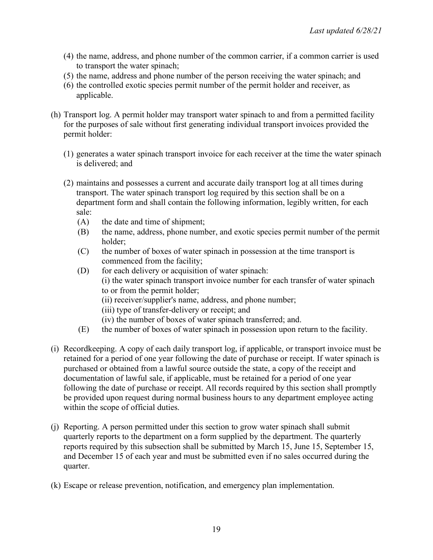- (4) the name, address, and phone number of the common carrier, if a common carrier is used to transport the water spinach;
- (5) the name, address and phone number of the person receiving the water spinach; and
- (6) the controlled exotic species permit number of the permit holder and receiver, as applicable.
- (h) Transport log. A permit holder may transport water spinach to and from a permitted facility for the purposes of sale without first generating individual transport invoices provided the permit holder:
	- (1) generates a water spinach transport invoice for each receiver at the time the water spinach is delivered; and
	- (2) maintains and possesses a current and accurate daily transport log at all times during transport. The water spinach transport log required by this section shall be on a department form and shall contain the following information, legibly written, for each sale:
		- (A) the date and time of shipment;
		- (B) the name, address, phone number, and exotic species permit number of the permit holder;
		- (C) the number of boxes of water spinach in possession at the time transport is commenced from the facility;
		- (D) for each delivery or acquisition of water spinach:
			- (i) the water spinach transport invoice number for each transfer of water spinach to or from the permit holder;
				- (ii) receiver/supplier's name, address, and phone number;
				- (iii) type of transfer-delivery or receipt; and
				- (iv) the number of boxes of water spinach transferred; and.
		- (E) the number of boxes of water spinach in possession upon return to the facility.
- (i) Recordkeeping. A copy of each daily transport log, if applicable, or transport invoice must be retained for a period of one year following the date of purchase or receipt. If water spinach is purchased or obtained from a lawful source outside the state, a copy of the receipt and documentation of lawful sale, if applicable, must be retained for a period of one year following the date of purchase or receipt. All records required by this section shall promptly be provided upon request during normal business hours to any department employee acting within the scope of official duties.
- (j) Reporting. A person permitted under this section to grow water spinach shall submit quarterly reports to the department on a form supplied by the department. The quarterly reports required by this subsection shall be submitted by March 15, June 15, September 15, and December 15 of each year and must be submitted even if no sales occurred during the quarter.
- (k) Escape or release prevention, notification, and emergency plan implementation.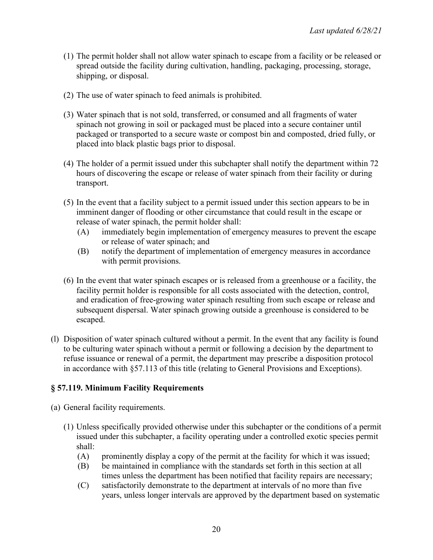- (1) The permit holder shall not allow water spinach to escape from a facility or be released or spread outside the facility during cultivation, handling, packaging, processing, storage, shipping, or disposal.
- (2) The use of water spinach to feed animals is prohibited.
- (3) Water spinach that is not sold, transferred, or consumed and all fragments of water spinach not growing in soil or packaged must be placed into a secure container until packaged or transported to a secure waste or compost bin and composted, dried fully, or placed into black plastic bags prior to disposal.
- (4) The holder of a permit issued under this subchapter shall notify the department within 72 hours of discovering the escape or release of water spinach from their facility or during transport.
- (5) In the event that a facility subject to a permit issued under this section appears to be in imminent danger of flooding or other circumstance that could result in the escape or release of water spinach, the permit holder shall:
	- (A) immediately begin implementation of emergency measures to prevent the escape or release of water spinach; and
	- (B) notify the department of implementation of emergency measures in accordance with permit provisions.
- (6) In the event that water spinach escapes or is released from a greenhouse or a facility, the facility permit holder is responsible for all costs associated with the detection, control, and eradication of free-growing water spinach resulting from such escape or release and subsequent dispersal. Water spinach growing outside a greenhouse is considered to be escaped.
- (l) Disposition of water spinach cultured without a permit. In the event that any facility is found to be culturing water spinach without a permit or following a decision by the department to refuse issuance or renewal of a permit, the department may prescribe a disposition protocol in accordance with §57.113 of this title (relating to General Provisions and Exceptions).

## **§ 57.119. Minimum Facility Requirements**

- (a) General facility requirements.
	- (1) Unless specifically provided otherwise under this subchapter or the conditions of a permit issued under this subchapter, a facility operating under a controlled exotic species permit shall:
		- (A) prominently display a copy of the permit at the facility for which it was issued;
		- (B) be maintained in compliance with the standards set forth in this section at all times unless the department has been notified that facility repairs are necessary;
		- (C) satisfactorily demonstrate to the department at intervals of no more than five years, unless longer intervals are approved by the department based on systematic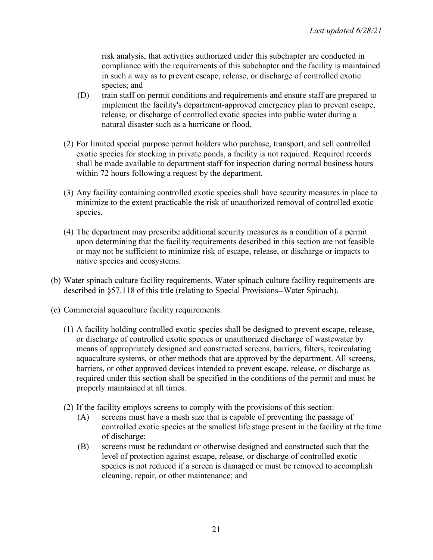risk analysis, that activities authorized under this subchapter are conducted in compliance with the requirements of this subchapter and the facility is maintained in such a way as to prevent escape, release, or discharge of controlled exotic species; and

- (D) train staff on permit conditions and requirements and ensure staff are prepared to implement the facility's department-approved emergency plan to prevent escape, release, or discharge of controlled exotic species into public water during a natural disaster such as a hurricane or flood.
- (2) For limited special purpose permit holders who purchase, transport, and sell controlled exotic species for stocking in private ponds, a facility is not required. Required records shall be made available to department staff for inspection during normal business hours within 72 hours following a request by the department.
- (3) Any facility containing controlled exotic species shall have security measures in place to minimize to the extent practicable the risk of unauthorized removal of controlled exotic species.
- (4) The department may prescribe additional security measures as a condition of a permit upon determining that the facility requirements described in this section are not feasible or may not be sufficient to minimize risk of escape, release, or discharge or impacts to native species and ecosystems.
- (b) Water spinach culture facility requirements. Water spinach culture facility requirements are described in §57.118 of this title (relating to Special Provisions--Water Spinach).
- (c) Commercial aquaculture facility requirements.
	- (1) A facility holding controlled exotic species shall be designed to prevent escape, release, or discharge of controlled exotic species or unauthorized discharge of wastewater by means of appropriately designed and constructed screens, barriers, filters, recirculating aquaculture systems, or other methods that are approved by the department. All screens, barriers, or other approved devices intended to prevent escape, release, or discharge as required under this section shall be specified in the conditions of the permit and must be properly maintained at all times.
	- (2) If the facility employs screens to comply with the provisions of this section:
		- (A) screens must have a mesh size that is capable of preventing the passage of controlled exotic species at the smallest life stage present in the facility at the time of discharge;
		- (B) screens must be redundant or otherwise designed and constructed such that the level of protection against escape, release, or discharge of controlled exotic species is not reduced if a screen is damaged or must be removed to accomplish cleaning, repair, or other maintenance; and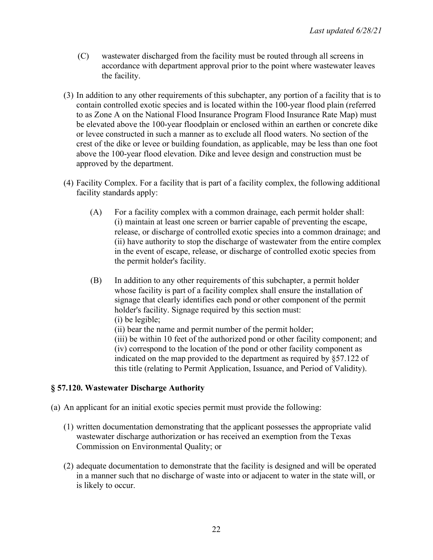- (C) wastewater discharged from the facility must be routed through all screens in accordance with department approval prior to the point where wastewater leaves the facility.
- (3) In addition to any other requirements of this subchapter, any portion of a facility that is to contain controlled exotic species and is located within the 100-year flood plain (referred to as Zone A on the National Flood Insurance Program Flood Insurance Rate Map) must be elevated above the 100-year floodplain or enclosed within an earthen or concrete dike or levee constructed in such a manner as to exclude all flood waters. No section of the crest of the dike or levee or building foundation, as applicable, may be less than one foot above the 100-year flood elevation. Dike and levee design and construction must be approved by the department.
- (4) Facility Complex. For a facility that is part of a facility complex, the following additional facility standards apply:
	- (A) For a facility complex with a common drainage, each permit holder shall: (i) maintain at least one screen or barrier capable of preventing the escape, release, or discharge of controlled exotic species into a common drainage; and (ii) have authority to stop the discharge of wastewater from the entire complex in the event of escape, release, or discharge of controlled exotic species from the permit holder's facility.
	- (B) In addition to any other requirements of this subchapter, a permit holder whose facility is part of a facility complex shall ensure the installation of signage that clearly identifies each pond or other component of the permit holder's facility. Signage required by this section must: (i) be legible; (ii) bear the name and permit number of the permit holder; (iii) be within 10 feet of the authorized pond or other facility component; and (iv) correspond to the location of the pond or other facility component as indicated on the map provided to the department as required by §57.122 of

this title (relating to Permit Application, Issuance, and Period of Validity).

#### **§ 57.120. Wastewater Discharge Authority**

- (a) An applicant for an initial exotic species permit must provide the following:
	- (1) written documentation demonstrating that the applicant possesses the appropriate valid wastewater discharge authorization or has received an exemption from the Texas Commission on Environmental Quality; or
	- (2) adequate documentation to demonstrate that the facility is designed and will be operated in a manner such that no discharge of waste into or adjacent to water in the state will, or is likely to occur.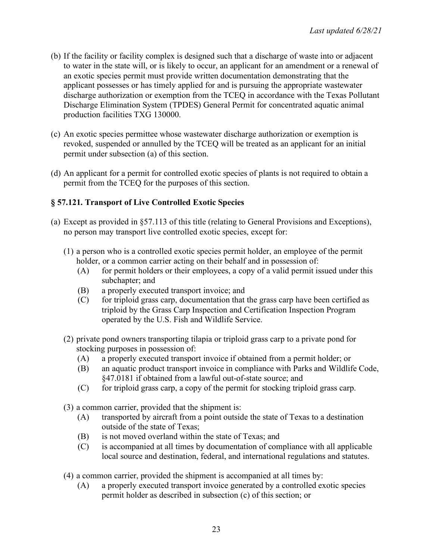- (b) If the facility or facility complex is designed such that a discharge of waste into or adjacent to water in the state will, or is likely to occur, an applicant for an amendment or a renewal of an exotic species permit must provide written documentation demonstrating that the applicant possesses or has timely applied for and is pursuing the appropriate wastewater discharge authorization or exemption from the TCEQ in accordance with the Texas Pollutant Discharge Elimination System (TPDES) General Permit for concentrated aquatic animal production facilities TXG 130000.
- (c) An exotic species permittee whose wastewater discharge authorization or exemption is revoked, suspended or annulled by the TCEQ will be treated as an applicant for an initial permit under subsection (a) of this section.
- (d) An applicant for a permit for controlled exotic species of plants is not required to obtain a permit from the TCEQ for the purposes of this section.

# **§ 57.121. Transport of Live Controlled Exotic Species**

- (a) Except as provided in §57.113 of this title (relating to General Provisions and Exceptions), no person may transport live controlled exotic species, except for:
	- (1) a person who is a controlled exotic species permit holder, an employee of the permit holder, or a common carrier acting on their behalf and in possession of:
		- (A) for permit holders or their employees, a copy of a valid permit issued under this subchapter; and
		- (B) a properly executed transport invoice; and
		- (C) for triploid grass carp, documentation that the grass carp have been certified as triploid by the Grass Carp Inspection and Certification Inspection Program operated by the U.S. Fish and Wildlife Service.
	- (2) private pond owners transporting tilapia or triploid grass carp to a private pond for stocking purposes in possession of:
		- (A) a properly executed transport invoice if obtained from a permit holder; or
		- (B) an aquatic product transport invoice in compliance with Parks and Wildlife Code, §47.0181 if obtained from a lawful out-of-state source; and
		- (C) for triploid grass carp, a copy of the permit for stocking triploid grass carp.
	- (3) a common carrier, provided that the shipment is:
		- (A) transported by aircraft from a point outside the state of Texas to a destination outside of the state of Texas;
		- (B) is not moved overland within the state of Texas; and
		- (C) is accompanied at all times by documentation of compliance with all applicable local source and destination, federal, and international regulations and statutes.
	- (4) a common carrier, provided the shipment is accompanied at all times by:
		- (A) a properly executed transport invoice generated by a controlled exotic species permit holder as described in subsection (c) of this section; or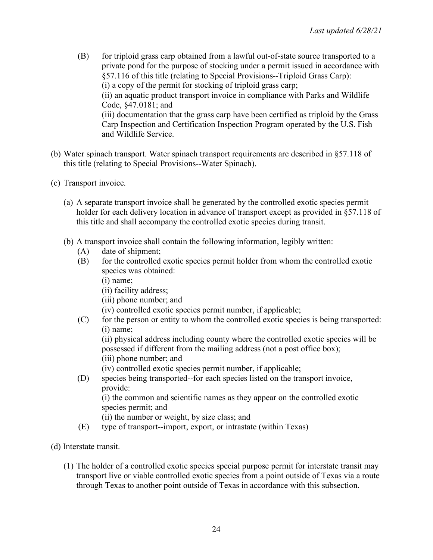- (B) for triploid grass carp obtained from a lawful out-of-state source transported to a private pond for the purpose of stocking under a permit issued in accordance with §57.116 of this title (relating to Special Provisions--Triploid Grass Carp): (i) a copy of the permit for stocking of triploid grass carp; (ii) an aquatic product transport invoice in compliance with Parks and Wildlife Code, §47.0181; and (iii) documentation that the grass carp have been certified as triploid by the Grass Carp Inspection and Certification Inspection Program operated by the U.S. Fish and Wildlife Service.
- (b) Water spinach transport. Water spinach transport requirements are described in §57.118 of this title (relating to Special Provisions--Water Spinach).
- (c) Transport invoice.
	- (a) A separate transport invoice shall be generated by the controlled exotic species permit holder for each delivery location in advance of transport except as provided in §57.118 of this title and shall accompany the controlled exotic species during transit.
	- (b) A transport invoice shall contain the following information, legibly written:
		- (A) date of shipment;
		- (B) for the controlled exotic species permit holder from whom the controlled exotic species was obtained:
			- (i) name;
			- (ii) facility address;
			- (iii) phone number; and
			- (iv) controlled exotic species permit number, if applicable;
		- (C) for the person or entity to whom the controlled exotic species is being transported: (i) name;

(ii) physical address including county where the controlled exotic species will be possessed if different from the mailing address (not a post office box); (iii) phone number; and

- (iv) controlled exotic species permit number, if applicable;
- (D) species being transported--for each species listed on the transport invoice, provide:

(i) the common and scientific names as they appear on the controlled exotic species permit; and

(ii) the number or weight, by size class; and

- (E) type of transport--import, export, or intrastate (within Texas)
- (d) Interstate transit.
	- (1) The holder of a controlled exotic species special purpose permit for interstate transit may transport live or viable controlled exotic species from a point outside of Texas via a route through Texas to another point outside of Texas in accordance with this subsection.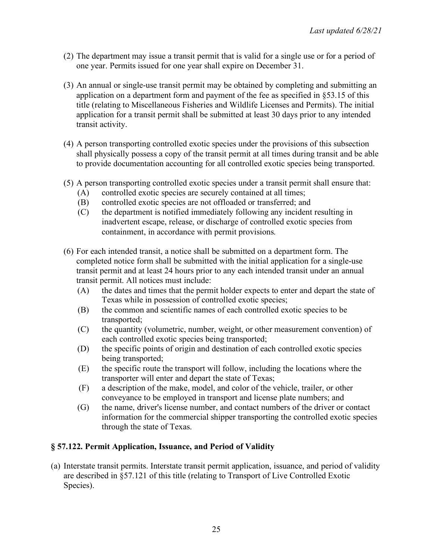- (2) The department may issue a transit permit that is valid for a single use or for a period of one year. Permits issued for one year shall expire on December 31.
- (3) An annual or single-use transit permit may be obtained by completing and submitting an application on a department form and payment of the fee as specified in §53.15 of this title (relating to Miscellaneous Fisheries and Wildlife Licenses and Permits). The initial application for a transit permit shall be submitted at least 30 days prior to any intended transit activity.
- (4) A person transporting controlled exotic species under the provisions of this subsection shall physically possess a copy of the transit permit at all times during transit and be able to provide documentation accounting for all controlled exotic species being transported.
- (5) A person transporting controlled exotic species under a transit permit shall ensure that:
	- (A) controlled exotic species are securely contained at all times;
	- (B) controlled exotic species are not offloaded or transferred; and
	- (C) the department is notified immediately following any incident resulting in inadvertent escape, release, or discharge of controlled exotic species from containment, in accordance with permit provisions.
- (6) For each intended transit, a notice shall be submitted on a department form. The completed notice form shall be submitted with the initial application for a single-use transit permit and at least 24 hours prior to any each intended transit under an annual transit permit. All notices must include:
	- (A) the dates and times that the permit holder expects to enter and depart the state of Texas while in possession of controlled exotic species;
	- (B) the common and scientific names of each controlled exotic species to be transported;
	- (C) the quantity (volumetric, number, weight, or other measurement convention) of each controlled exotic species being transported;
	- (D) the specific points of origin and destination of each controlled exotic species being transported;
	- (E) the specific route the transport will follow, including the locations where the transporter will enter and depart the state of Texas;
	- (F) a description of the make, model, and color of the vehicle, trailer, or other conveyance to be employed in transport and license plate numbers; and
	- (G) the name, driver's license number, and contact numbers of the driver or contact information for the commercial shipper transporting the controlled exotic species through the state of Texas.

#### **§ 57.122. Permit Application, Issuance, and Period of Validity**

(a) Interstate transit permits. Interstate transit permit application, issuance, and period of validity are described in §57.121 of this title (relating to Transport of Live Controlled Exotic Species).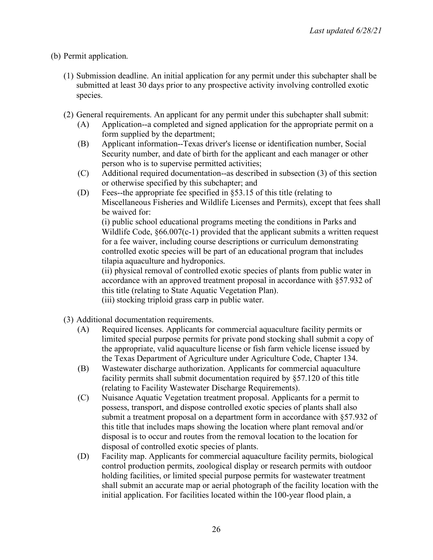- (b) Permit application.
	- (1) Submission deadline. An initial application for any permit under this subchapter shall be submitted at least 30 days prior to any prospective activity involving controlled exotic species.
	- (2) General requirements. An applicant for any permit under this subchapter shall submit:
		- (A) Application--a completed and signed application for the appropriate permit on a form supplied by the department;
		- (B) Applicant information--Texas driver's license or identification number, Social Security number, and date of birth for the applicant and each manager or other person who is to supervise permitted activities;
		- (C) Additional required documentation--as described in subsection (3) of this section or otherwise specified by this subchapter; and
		- (D) Fees--the appropriate fee specified in §53.15 of this title (relating to Miscellaneous Fisheries and Wildlife Licenses and Permits), except that fees shall be waived for:

(i) public school educational programs meeting the conditions in Parks and Wildlife Code, §66.007(c-1) provided that the applicant submits a written request for a fee waiver, including course descriptions or curriculum demonstrating controlled exotic species will be part of an educational program that includes tilapia aquaculture and hydroponics.

(ii) physical removal of controlled exotic species of plants from public water in accordance with an approved treatment proposal in accordance with §57.932 of this title (relating to State Aquatic Vegetation Plan).

(iii) stocking triploid grass carp in public water.

- (3) Additional documentation requirements.
	- (A) Required licenses. Applicants for commercial aquaculture facility permits or limited special purpose permits for private pond stocking shall submit a copy of the appropriate, valid aquaculture license or fish farm vehicle license issued by the Texas Department of Agriculture under Agriculture Code, Chapter 134.
	- (B) Wastewater discharge authorization. Applicants for commercial aquaculture facility permits shall submit documentation required by §57.120 of this title (relating to Facility Wastewater Discharge Requirements).
	- (C) Nuisance Aquatic Vegetation treatment proposal. Applicants for a permit to possess, transport, and dispose controlled exotic species of plants shall also submit a treatment proposal on a department form in accordance with §57.932 of this title that includes maps showing the location where plant removal and/or disposal is to occur and routes from the removal location to the location for disposal of controlled exotic species of plants.
	- (D) Facility map. Applicants for commercial aquaculture facility permits, biological control production permits, zoological display or research permits with outdoor holding facilities, or limited special purpose permits for wastewater treatment shall submit an accurate map or aerial photograph of the facility location with the initial application. For facilities located within the 100-year flood plain, a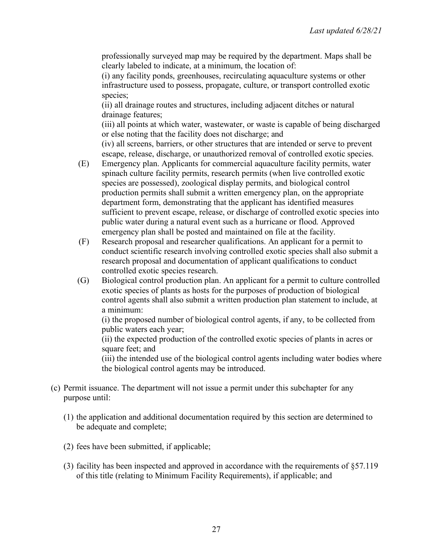professionally surveyed map may be required by the department. Maps shall be clearly labeled to indicate, at a minimum, the location of:

(i) any facility ponds, greenhouses, recirculating aquaculture systems or other infrastructure used to possess, propagate, culture, or transport controlled exotic species;

(ii) all drainage routes and structures, including adjacent ditches or natural drainage features;

(iii) all points at which water, wastewater, or waste is capable of being discharged or else noting that the facility does not discharge; and

(iv) all screens, barriers, or other structures that are intended or serve to prevent escape, release, discharge, or unauthorized removal of controlled exotic species.

- (E) Emergency plan. Applicants for commercial aquaculture facility permits, water spinach culture facility permits, research permits (when live controlled exotic species are possessed), zoological display permits, and biological control production permits shall submit a written emergency plan, on the appropriate department form, demonstrating that the applicant has identified measures sufficient to prevent escape, release, or discharge of controlled exotic species into public water during a natural event such as a hurricane or flood. Approved emergency plan shall be posted and maintained on file at the facility.
- (F) Research proposal and researcher qualifications. An applicant for a permit to conduct scientific research involving controlled exotic species shall also submit a research proposal and documentation of applicant qualifications to conduct controlled exotic species research.
- (G) Biological control production plan. An applicant for a permit to culture controlled exotic species of plants as hosts for the purposes of production of biological control agents shall also submit a written production plan statement to include, at a minimum:

(i) the proposed number of biological control agents, if any, to be collected from public waters each year;

(ii) the expected production of the controlled exotic species of plants in acres or square feet; and

(iii) the intended use of the biological control agents including water bodies where the biological control agents may be introduced.

- (c) Permit issuance. The department will not issue a permit under this subchapter for any purpose until:
	- (1) the application and additional documentation required by this section are determined to be adequate and complete;
	- (2) fees have been submitted, if applicable;
	- (3) facility has been inspected and approved in accordance with the requirements of §57.119 of this title (relating to Minimum Facility Requirements), if applicable; and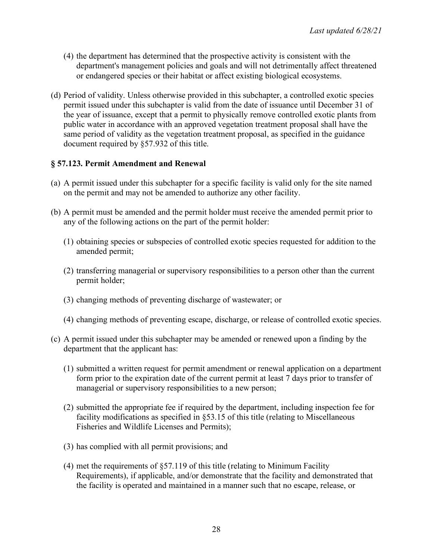- (4) the department has determined that the prospective activity is consistent with the department's management policies and goals and will not detrimentally affect threatened or endangered species or their habitat or affect existing biological ecosystems.
- (d) Period of validity. Unless otherwise provided in this subchapter, a controlled exotic species permit issued under this subchapter is valid from the date of issuance until December 31 of the year of issuance, except that a permit to physically remove controlled exotic plants from public water in accordance with an approved vegetation treatment proposal shall have the same period of validity as the vegetation treatment proposal, as specified in the guidance document required by §57.932 of this title.

### **§ 57.123. Permit Amendment and Renewal**

- (a) A permit issued under this subchapter for a specific facility is valid only for the site named on the permit and may not be amended to authorize any other facility.
- (b) A permit must be amended and the permit holder must receive the amended permit prior to any of the following actions on the part of the permit holder:
	- (1) obtaining species or subspecies of controlled exotic species requested for addition to the amended permit;
	- (2) transferring managerial or supervisory responsibilities to a person other than the current permit holder;
	- (3) changing methods of preventing discharge of wastewater; or
	- (4) changing methods of preventing escape, discharge, or release of controlled exotic species.
- (c) A permit issued under this subchapter may be amended or renewed upon a finding by the department that the applicant has:
	- (1) submitted a written request for permit amendment or renewal application on a department form prior to the expiration date of the current permit at least 7 days prior to transfer of managerial or supervisory responsibilities to a new person;
	- (2) submitted the appropriate fee if required by the department, including inspection fee for facility modifications as specified in §53.15 of this title (relating to Miscellaneous Fisheries and Wildlife Licenses and Permits);
	- (3) has complied with all permit provisions; and
	- (4) met the requirements of §57.119 of this title (relating to Minimum Facility Requirements), if applicable, and/or demonstrate that the facility and demonstrated that the facility is operated and maintained in a manner such that no escape, release, or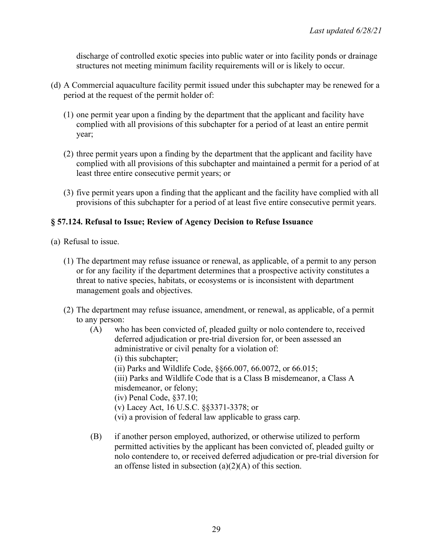discharge of controlled exotic species into public water or into facility ponds or drainage structures not meeting minimum facility requirements will or is likely to occur.

- (d) A Commercial aquaculture facility permit issued under this subchapter may be renewed for a period at the request of the permit holder of:
	- (1) one permit year upon a finding by the department that the applicant and facility have complied with all provisions of this subchapter for a period of at least an entire permit year;
	- (2) three permit years upon a finding by the department that the applicant and facility have complied with all provisions of this subchapter and maintained a permit for a period of at least three entire consecutive permit years; or
	- (3) five permit years upon a finding that the applicant and the facility have complied with all provisions of this subchapter for a period of at least five entire consecutive permit years.

### **§ 57.124. Refusal to Issue; Review of Agency Decision to Refuse Issuance**

- (a) Refusal to issue.
	- (1) The department may refuse issuance or renewal, as applicable, of a permit to any person or for any facility if the department determines that a prospective activity constitutes a threat to native species, habitats, or ecosystems or is inconsistent with department management goals and objectives.
	- (2) The department may refuse issuance, amendment, or renewal, as applicable, of a permit to any person:
		- (A) who has been convicted of, pleaded guilty or nolo contendere to, received deferred adjudication or pre-trial diversion for, or been assessed an administrative or civil penalty for a violation of: (i) this subchapter; (ii) Parks and Wildlife Code, §§66.007, 66.0072, or 66.015; (iii) Parks and Wildlife Code that is a Class B misdemeanor, a Class A misdemeanor, or felony; (iv) Penal Code, §37.10; (v) Lacey Act, 16 U.S.C. §§3371-3378; or (vi) a provision of federal law applicable to grass carp.
		- (B) if another person employed, authorized, or otherwise utilized to perform permitted activities by the applicant has been convicted of, pleaded guilty or nolo contendere to, or received deferred adjudication or pre-trial diversion for an offense listed in subsection  $(a)(2)(A)$  of this section.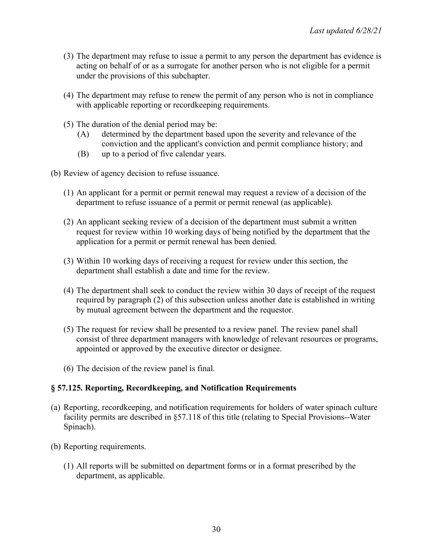- (3) The department may refuse to issue a permit to any person the department has evidence is acting on behalf of or as a surrogate for another person who is not eligible for a permit under the provisions of this subchapter.
- (4) The department may refuse to renew the permit of any person who is not in compliance with applicable reporting or recordkeeping requirements.
- (5) The duration of the denial period may be:
	- (A) determined by the department based upon the severity and relevance of the conviction and the applicant's conviction and permit compliance history; and
	- (B) up to a period of five calendar years.
- (b) Review of agency decision to refuse issuance.
	- (1) An applicant for a permit or permit renewal may request a review of a decision of the department to refuse issuance of a permit or permit renewal (as applicable).
	- (2) An applicant seeking review of a decision of the department must submit a written request for review within 10 working days of being notified by the department that the application for a permit or permit renewal has been denied.
	- (3) Within 10 working days of receiving a request for review under this section, the department shall establish a date and time for the review.
	- (4) The department shall seek to conduct the review within 30 days of receipt of the request required by paragraph (2) of this subsection unless another date is established in writing by mutual agreement between the department and the requestor.
	- (5) The request for review shall be presented to a review panel. The review panel shall consist of three department managers with knowledge of relevant resources or programs, appointed or approved by the executive director or designee.
	- (6) The decision of the review panel is final.

#### **§ 57.125. Reporting, Recordkeeping, and Notification Requirements**

- (a) Reporting, recordkeeping, and notification requirements for holders of water spinach culture facility permits are described in §57.118 of this title (relating to Special Provisions--Water Spinach).
- (b) Reporting requirements.
	- (1) All reports will be submitted on department forms or in a format prescribed by the department, as applicable.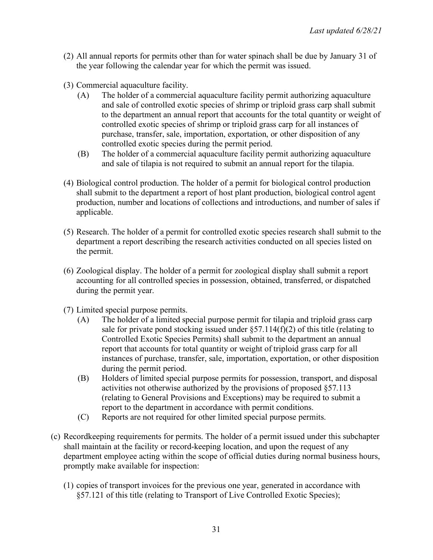- (2) All annual reports for permits other than for water spinach shall be due by January 31 of the year following the calendar year for which the permit was issued.
- (3) Commercial aquaculture facility.
	- (A) The holder of a commercial aquaculture facility permit authorizing aquaculture and sale of controlled exotic species of shrimp or triploid grass carp shall submit to the department an annual report that accounts for the total quantity or weight of controlled exotic species of shrimp or triploid grass carp for all instances of purchase, transfer, sale, importation, exportation, or other disposition of any controlled exotic species during the permit period.
	- (B) The holder of a commercial aquaculture facility permit authorizing aquaculture and sale of tilapia is not required to submit an annual report for the tilapia.
- (4) Biological control production. The holder of a permit for biological control production shall submit to the department a report of host plant production, biological control agent production, number and locations of collections and introductions, and number of sales if applicable.
- (5) Research. The holder of a permit for controlled exotic species research shall submit to the department a report describing the research activities conducted on all species listed on the permit.
- (6) Zoological display. The holder of a permit for zoological display shall submit a report accounting for all controlled species in possession, obtained, transferred, or dispatched during the permit year.
- (7) Limited special purpose permits.
	- (A) The holder of a limited special purpose permit for tilapia and triploid grass carp sale for private pond stocking issued under  $\S 57.114(f)(2)$  of this title (relating to Controlled Exotic Species Permits) shall submit to the department an annual report that accounts for total quantity or weight of triploid grass carp for all instances of purchase, transfer, sale, importation, exportation, or other disposition during the permit period.
	- (B) Holders of limited special purpose permits for possession, transport, and disposal activities not otherwise authorized by the provisions of proposed §57.113 (relating to General Provisions and Exceptions) may be required to submit a report to the department in accordance with permit conditions.
	- (C) Reports are not required for other limited special purpose permits.
- (c) Recordkeeping requirements for permits. The holder of a permit issued under this subchapter shall maintain at the facility or record-keeping location, and upon the request of any department employee acting within the scope of official duties during normal business hours, promptly make available for inspection:
	- (1) copies of transport invoices for the previous one year, generated in accordance with §57.121 of this title (relating to Transport of Live Controlled Exotic Species);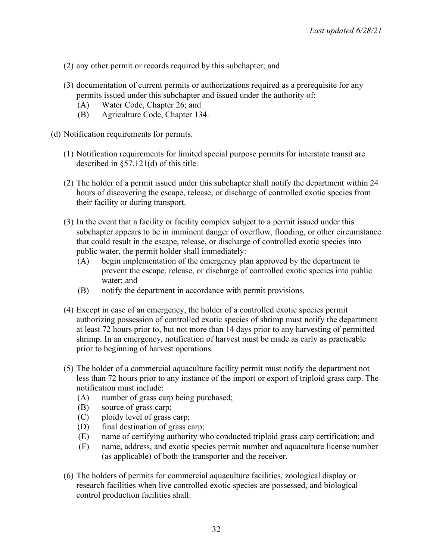- (2) any other permit or records required by this subchapter; and
- (3) documentation of current permits or authorizations required as a prerequisite for any permits issued under this subchapter and issued under the authority of:
	- (A) Water Code, Chapter 26; and
	- (B) Agriculture Code, Chapter 134.
- (d) Notification requirements for permits.
	- (1) Notification requirements for limited special purpose permits for interstate transit are described in §57.121(d) of this title.
	- (2) The holder of a permit issued under this subchapter shall notify the department within 24 hours of discovering the escape, release, or discharge of controlled exotic species from their facility or during transport.
	- (3) In the event that a facility or facility complex subject to a permit issued under this subchapter appears to be in imminent danger of overflow, flooding, or other circumstance that could result in the escape, release, or discharge of controlled exotic species into public water, the permit holder shall immediately:
		- (A) begin implementation of the emergency plan approved by the department to prevent the escape, release, or discharge of controlled exotic species into public water; and
		- (B) notify the department in accordance with permit provisions.
	- (4) Except in case of an emergency, the holder of a controlled exotic species permit authorizing possession of controlled exotic species of shrimp must notify the department at least 72 hours prior to, but not more than 14 days prior to any harvesting of permitted shrimp. In an emergency, notification of harvest must be made as early as practicable prior to beginning of harvest operations.
	- (5) The holder of a commercial aquaculture facility permit must notify the department not less than 72 hours prior to any instance of the import or export of triploid grass carp. The notification must include:
		- (A) number of grass carp being purchased;
		- (B) source of grass carp;
		- (C) ploidy level of grass carp;
		- (D) final destination of grass carp;
		- (E) name of certifying authority who conducted triploid grass carp certification; and
		- (F) name, address, and exotic species permit number and aquaculture license number (as applicable) of both the transporter and the receiver.
	- (6) The holders of permits for commercial aquaculture facilities, zoological display or research facilities when live controlled exotic species are possessed, and biological control production facilities shall: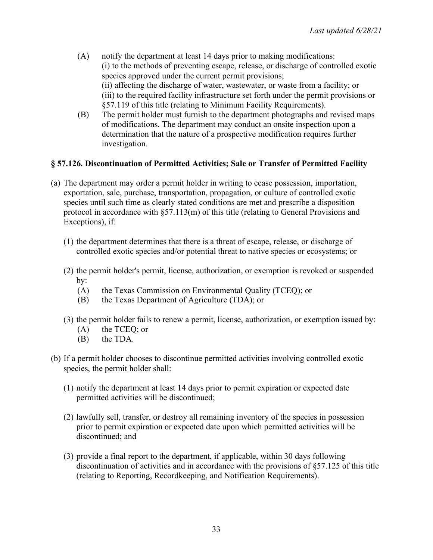- (A) notify the department at least 14 days prior to making modifications: (i) to the methods of preventing escape, release, or discharge of controlled exotic species approved under the current permit provisions; (ii) affecting the discharge of water, wastewater, or waste from a facility; or (iii) to the required facility infrastructure set forth under the permit provisions or §57.119 of this title (relating to Minimum Facility Requirements).
- (B) The permit holder must furnish to the department photographs and revised maps of modifications. The department may conduct an onsite inspection upon a determination that the nature of a prospective modification requires further investigation.

## **§ 57.126. Discontinuation of Permitted Activities; Sale or Transfer of Permitted Facility**

- (a) The department may order a permit holder in writing to cease possession, importation, exportation, sale, purchase, transportation, propagation, or culture of controlled exotic species until such time as clearly stated conditions are met and prescribe a disposition protocol in accordance with §57.113(m) of this title (relating to General Provisions and Exceptions), if:
	- (1) the department determines that there is a threat of escape, release, or discharge of controlled exotic species and/or potential threat to native species or ecosystems; or
	- (2) the permit holder's permit, license, authorization, or exemption is revoked or suspended by:
		- (A) the Texas Commission on Environmental Quality (TCEQ); or
		- (B) the Texas Department of Agriculture (TDA); or
	- (3) the permit holder fails to renew a permit, license, authorization, or exemption issued by:
		- (A) the TCEQ; or
		- (B) the TDA.
- (b) If a permit holder chooses to discontinue permitted activities involving controlled exotic species, the permit holder shall:
	- (1) notify the department at least 14 days prior to permit expiration or expected date permitted activities will be discontinued;
	- (2) lawfully sell, transfer, or destroy all remaining inventory of the species in possession prior to permit expiration or expected date upon which permitted activities will be discontinued; and
	- (3) provide a final report to the department, if applicable, within 30 days following discontinuation of activities and in accordance with the provisions of §57.125 of this title (relating to Reporting, Recordkeeping, and Notification Requirements).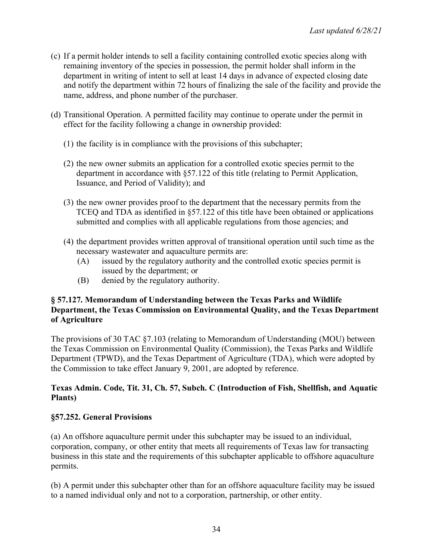- (c) If a permit holder intends to sell a facility containing controlled exotic species along with remaining inventory of the species in possession, the permit holder shall inform in the department in writing of intent to sell at least 14 days in advance of expected closing date and notify the department within 72 hours of finalizing the sale of the facility and provide the name, address, and phone number of the purchaser.
- (d) Transitional Operation. A permitted facility may continue to operate under the permit in effect for the facility following a change in ownership provided:
	- (1) the facility is in compliance with the provisions of this subchapter;
	- (2) the new owner submits an application for a controlled exotic species permit to the department in accordance with §57.122 of this title (relating to Permit Application, Issuance, and Period of Validity); and
	- (3) the new owner provides proof to the department that the necessary permits from the TCEQ and TDA as identified in §57.122 of this title have been obtained or applications submitted and complies with all applicable regulations from those agencies; and
	- (4) the department provides written approval of transitional operation until such time as the necessary wastewater and aquaculture permits are:
		- (A) issued by the regulatory authority and the controlled exotic species permit is issued by the department; or
		- (B) denied by the regulatory authority.

### **§ 57.127. Memorandum of Understanding between the Texas Parks and Wildlife Department, the Texas Commission on Environmental Quality, and the Texas Department of Agriculture**

The provisions of 30 TAC §7.103 (relating to Memorandum of Understanding (MOU) between the Texas Commission on Environmental Quality (Commission), the Texas Parks and Wildlife Department (TPWD), and the Texas Department of Agriculture (TDA), which were adopted by the Commission to take effect January 9, 2001, are adopted by reference.

## **Texas Admin. Code, Tit. 31, Ch. 57, Subch. C (Introduction of Fish, Shellfish, and Aquatic Plants)**

# **§57.252. General Provisions**

(a) An offshore aquaculture permit under this subchapter may be issued to an individual, corporation, company, or other entity that meets all requirements of Texas law for transacting business in this state and the requirements of this subchapter applicable to offshore aquaculture permits.

(b) A permit under this subchapter other than for an offshore aquaculture facility may be issued to a named individual only and not to a corporation, partnership, or other entity.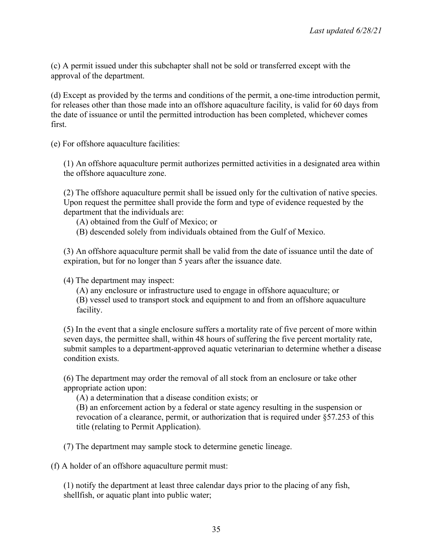(c) A permit issued under this subchapter shall not be sold or transferred except with the approval of the department.

(d) Except as provided by the terms and conditions of the permit, a one-time introduction permit, for releases other than those made into an offshore aquaculture facility, is valid for 60 days from the date of issuance or until the permitted introduction has been completed, whichever comes first.

(e) For offshore aquaculture facilities:

(1) An offshore aquaculture permit authorizes permitted activities in a designated area within the offshore aquaculture zone.

(2) The offshore aquaculture permit shall be issued only for the cultivation of native species. Upon request the permittee shall provide the form and type of evidence requested by the department that the individuals are:

(A) obtained from the Gulf of Mexico; or

(B) descended solely from individuals obtained from the Gulf of Mexico.

(3) An offshore aquaculture permit shall be valid from the date of issuance until the date of expiration, but for no longer than 5 years after the issuance date.

(4) The department may inspect:

(A) any enclosure or infrastructure used to engage in offshore aquaculture; or

(B) vessel used to transport stock and equipment to and from an offshore aquaculture facility.

(5) In the event that a single enclosure suffers a mortality rate of five percent of more within seven days, the permittee shall, within 48 hours of suffering the five percent mortality rate, submit samples to a department-approved aquatic veterinarian to determine whether a disease condition exists.

(6) The department may order the removal of all stock from an enclosure or take other appropriate action upon:

(A) a determination that a disease condition exists; or

(B) an enforcement action by a federal or state agency resulting in the suspension or revocation of a clearance, permit, or authorization that is required under §57.253 of this title (relating to Permit Application).

(7) The department may sample stock to determine genetic lineage.

(f) A holder of an offshore aquaculture permit must:

(1) notify the department at least three calendar days prior to the placing of any fish, shellfish, or aquatic plant into public water;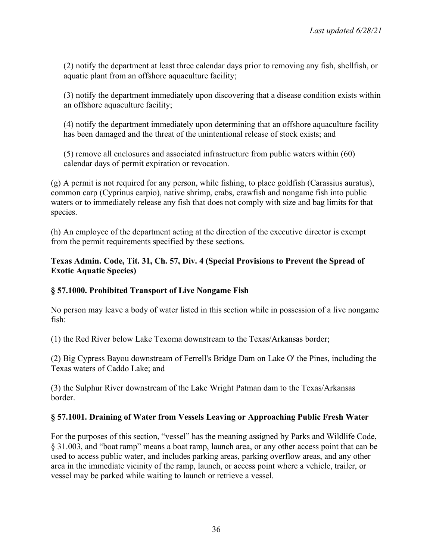(2) notify the department at least three calendar days prior to removing any fish, shellfish, or aquatic plant from an offshore aquaculture facility;

(3) notify the department immediately upon discovering that a disease condition exists within an offshore aquaculture facility;

(4) notify the department immediately upon determining that an offshore aquaculture facility has been damaged and the threat of the unintentional release of stock exists; and

(5) remove all enclosures and associated infrastructure from public waters within (60) calendar days of permit expiration or revocation.

(g) A permit is not required for any person, while fishing, to place goldfish (Carassius auratus), common carp (Cyprinus carpio), native shrimp, crabs, crawfish and nongame fish into public waters or to immediately release any fish that does not comply with size and bag limits for that species.

(h) An employee of the department acting at the direction of the executive director is exempt from the permit requirements specified by these sections.

### **Texas Admin. Code, Tit. 31, Ch. 57, Div. 4 (Special Provisions to Prevent the Spread of Exotic Aquatic Species)**

## **§ 57.1000. Prohibited Transport of Live Nongame Fish**

No person may leave a body of water listed in this section while in possession of a live nongame fish:

(1) the Red River below Lake Texoma downstream to the Texas/Arkansas border;

(2) Big Cypress Bayou downstream of Ferrell's Bridge Dam on Lake O' the Pines, including the Texas waters of Caddo Lake; and

(3) the Sulphur River downstream of the Lake Wright Patman dam to the Texas/Arkansas border.

#### **§ 57.1001. Draining of Water from Vessels Leaving or Approaching Public Fresh Water**

For the purposes of this section, "vessel" has the meaning assigned by Parks and Wildlife Code, § 31.003, and "boat ramp" means a boat ramp, launch area, or any other access point that can be used to access public water, and includes parking areas, parking overflow areas, and any other area in the immediate vicinity of the ramp, launch, or access point where a vehicle, trailer, or vessel may be parked while waiting to launch or retrieve a vessel.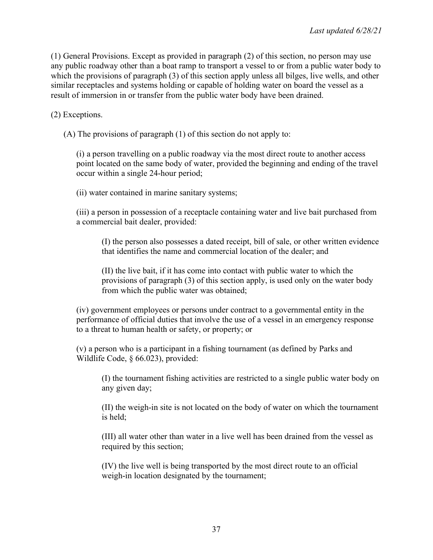(1) General Provisions. Except as provided in paragraph (2) of this section, no person may use any public roadway other than a boat ramp to transport a vessel to or from a public water body to which the provisions of paragraph (3) of this section apply unless all bilges, live wells, and other similar receptacles and systems holding or capable of holding water on board the vessel as a result of immersion in or transfer from the public water body have been drained.

(2) Exceptions.

(A) The provisions of paragraph (1) of this section do not apply to:

(i) a person travelling on a public roadway via the most direct route to another access point located on the same body of water, provided the beginning and ending of the travel occur within a single 24-hour period;

(ii) water contained in marine sanitary systems;

(iii) a person in possession of a receptacle containing water and live bait purchased from a commercial bait dealer, provided:

(I) the person also possesses a dated receipt, bill of sale, or other written evidence that identifies the name and commercial location of the dealer; and

(II) the live bait, if it has come into contact with public water to which the provisions of paragraph (3) of this section apply, is used only on the water body from which the public water was obtained;

(iv) government employees or persons under contract to a governmental entity in the performance of official duties that involve the use of a vessel in an emergency response to a threat to human health or safety, or property; or

(v) a person who is a participant in a fishing tournament (as defined by Parks and Wildlife Code, § 66.023), provided:

(I) the tournament fishing activities are restricted to a single public water body on any given day;

(II) the weigh-in site is not located on the body of water on which the tournament is held;

(III) all water other than water in a live well has been drained from the vessel as required by this section;

(IV) the live well is being transported by the most direct route to an official weigh-in location designated by the tournament;